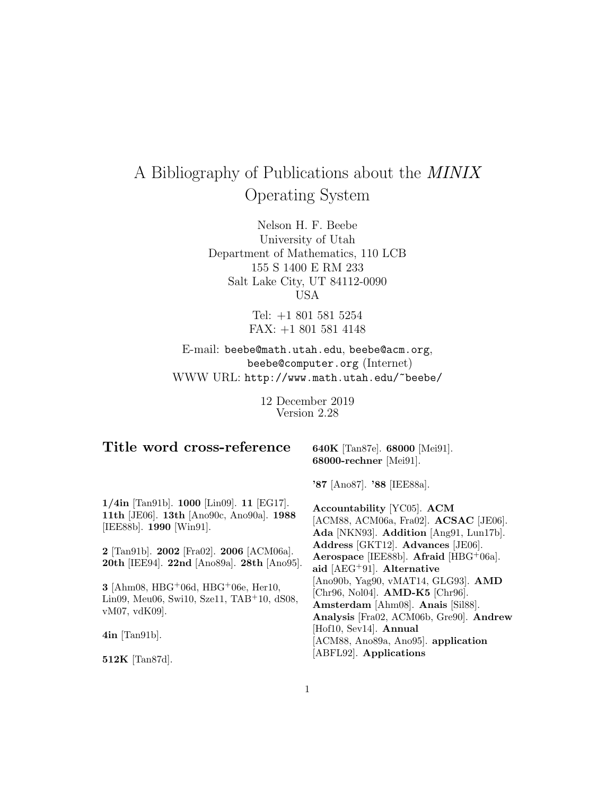# A Bibliography of Publications about the MINIX Operating System

Nelson H. F. Beebe University of Utah Department of Mathematics, 110 LCB 155 S 1400 E RM 233 Salt Lake City, UT 84112-0090 USA

> Tel: +1 801 581 5254 FAX: +1 801 581 4148

E-mail: beebe@math.utah.edu, beebe@acm.org, beebe@computer.org (Internet) WWW URL: http://www.math.utah.edu/~beebe/

> 12 December 2019 Version 2.28

## **Title word cross-reference**

**640K** [Tan87e]. **68000** [Mei91]. **68000-rechner** [Mei91].

**1/4in** [Tan91b]. **1000** [Lin09]. **11** [EG17]. **11th** [JE06]. **13th** [Ano90c, Ano90a]. **1988** [IEE88b]. **1990** [Win91].

**2** [Tan91b]. **2002** [Fra02]. **2006** [ACM06a]. **20th** [IEE94]. **22nd** [Ano89a]. **28th** [Ano95].

**3** [Ahm08, HBG<sup>+</sup>06d, HBG<sup>+</sup>06e, Her10, Lin09, Meu06, Swi10, Sze11, TAB<sup>+</sup>10, dS08, vM07, vdK09].

**4in** [Tan91b].

**512K** [Tan87d].

**'87** [Ano87]. **'88** [IEE88a].

**Accountability** [YC05]. **ACM** [ACM88, ACM06a, Fra02]. **ACSAC** [JE06]. **Ada** [NKN93]. **Addition** [Ang91, Lun17b]. **Address** [GKT12]. **Advances** [JE06]. **Aerospace** [IEE88b]. **Afraid** [HBG<sup>+</sup>06a]. **aid** [AEG<sup>+</sup>91]. **Alternative** [Ano90b, Yag90, vMAT14, GLG93]. **AMD** [Chr96, Nol04]. **AMD-K5** [Chr96]. **Amsterdam** [Ahm08]. **Anais** [Sil88]. **Analysis** [Fra02, ACM06b, Gre90]. **Andrew** [Hof10, Sev14]. **Annual** [ACM88, Ano89a, Ano95]. **application** [ABFL92]. **Applications**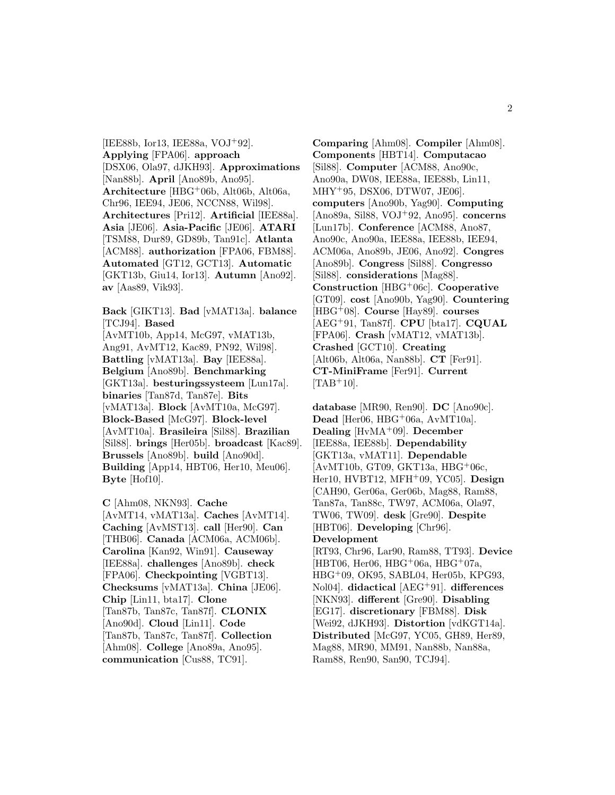[IEE88b, Ior13, IEE88a, VOJ<sup>+</sup>92]. **Applying** [FPA06]. **approach** [DSX06, Ola97, dJKH93]. **Approximations** [Nan88b]. **April** [Ano89b, Ano95]. **Architecture** [HBG<sup>+</sup>06b, Alt06b, Alt06a, Chr96, IEE94, JE06, NCCN88, Wil98]. **Architectures** [Pri12]. **Artificial** [IEE88a]. **Asia** [JE06]. **Asia-Pacific** [JE06]. **ATARI** [TSM88, Dur89, GD89b, Tan91c]. **Atlanta** [ACM88]. **authorization** [FPA06, FBM88]. **Automated** [GT12, GCT13]. **Automatic** [GKT13b, Giu14, Ior13]. **Autumn** [Ano92]. **av** [Aas89, Vik93].

**Back** [GIKT13]. **Bad** [vMAT13a]. **balance** [TCJ94]. **Based** [AvMT10b, App14, McG97, vMAT13b, Ang91, AvMT12, Kac89, PN92, Wil98]. **Battling** [vMAT13a]. **Bay** [IEE88a]. **Belgium** [Ano89b]. **Benchmarking** [GKT13a]. **besturingssysteem** [Lun17a]. **binaries** [Tan87d, Tan87e]. **Bits** [vMAT13a]. **Block** [AvMT10a, McG97]. **Block-Based** [McG97]. **Block-level** [AvMT10a]. **Brasileira** [Sil88]. **Brazilian** [Sil88]. **brings** [Her05b]. **broadcast** [Kac89]. **Brussels** [Ano89b]. **build** [Ano90d]. **Building** [App14, HBT06, Her10, Meu06]. **Byte** [Hof10].

**C** [Ahm08, NKN93]. **Cache** [AvMT14, vMAT13a]. **Caches** [AvMT14]. **Caching** [AvMST13]. **call** [Her90]. **Can** [THB06]. **Canada** [ACM06a, ACM06b]. **Carolina** [Kan92, Win91]. **Causeway** [IEE88a]. **challenges** [Ano89b]. **check** [FPA06]. **Checkpointing** [VGBT13]. **Checksums** [vMAT13a]. **China** [JE06]. **Chip** [Lin11, bta17]. **Clone** [Tan87b, Tan87c, Tan87f]. **CLONIX** [Ano90d]. **Cloud** [Lin11]. **Code** [Tan87b, Tan87c, Tan87f]. **Collection** [Ahm08]. **College** [Ano89a, Ano95]. **communication** [Cus88, TC91].

**Comparing** [Ahm08]. **Compiler** [Ahm08]. **Components** [HBT14]. **Computacao** [Sil88]. **Computer** [ACM88, Ano90c, Ano90a, DW08, IEE88a, IEE88b, Lin11, MHY<sup>+</sup>95, DSX06, DTW07, JE06]. **computers** [Ano90b, Yag90]. **Computing** [Ano89a, Sil88, VOJ<sup>+</sup>92, Ano95]. **concerns** [Lun17b]. **Conference** [ACM88, Ano87, Ano90c, Ano90a, IEE88a, IEE88b, IEE94, ACM06a, Ano89b, JE06, Ano92]. **Congres** [Ano89b]. **Congress** [Sil88]. **Congresso** [Sil88]. **considerations** [Mag88]. **Construction** [HBG<sup>+</sup>06c]. **Cooperative** [GT09]. **cost** [Ano90b, Yag90]. **Countering** [HBG<sup>+</sup>08]. **Course** [Hay89]. **courses** [AEG<sup>+</sup>91, Tan87f]. **CPU** [bta17]. **CQUAL** [FPA06]. **Crash** [vMAT12, vMAT13b]. **Crashed** [GCT10]. **Creating** [Alt06b, Alt06a, Nan88b]. **CT** [Fer91]. **CT-MiniFrame** [Fer91]. **Current**  $[TAB+10]$ .

**database** [MR90, Ren90]. **DC** [Ano90c]. Dead [Her06, HBG<sup>+</sup>06a, AvMT10a]. **Dealing** [HvMA<sup>+</sup>09]. **December** [IEE88a, IEE88b]. **Dependability** [GKT13a, vMAT11]. **Dependable** [AvMT10b, GT09, GKT13a, HBG<sup>+</sup>06c, Her10, HVBT12, MFH<sup>+</sup>09, YC05]. **Design** [CAH90, Ger06a, Ger06b, Mag88, Ram88, Tan87a, Tan88c, TW97, ACM06a, Ola97, TW06, TW09]. **desk** [Gre90]. **Despite** [HBT06]. **Developing** [Chr96]. **Development** [RT93, Chr96, Lar90, Ram88, TT93]. **Device** [HBT06, Her06, HBG<sup>+</sup>06a, HBG<sup>+</sup>07a, HBG<sup>+</sup>09, OK95, SABL04, Her05b, KPG93, Nol04]. **didactical** [AEG<sup>+</sup>91]. **differences** [NKN93]. **different** [Gre90]. **Disabling** [EG17]. **discretionary** [FBM88]. **Disk** [Wei92, dJKH93]. **Distortion** [vdKGT14a]. **Distributed** [McG97, YC05, GH89, Her89, Mag88, MR90, MM91, Nan88b, Nan88a, Ram88, Ren90, San90, TCJ94].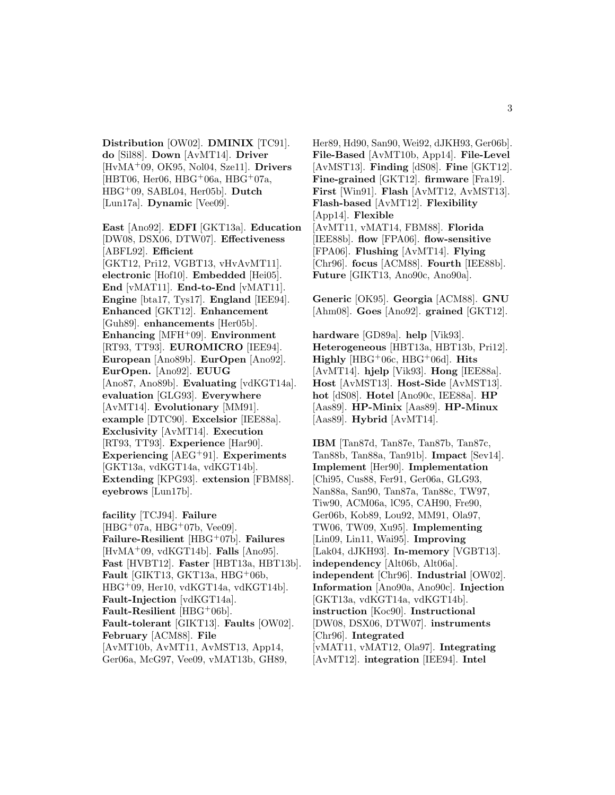**Distribution** [OW02]. **DMINIX** [TC91]. **do** [Sil88]. **Down** [AvMT14]. **Driver** [HvMA<sup>+</sup>09, OK95, Nol04, Sze11]. **Drivers** [HBT06, Her06, HBG<sup>+</sup>06a, HBG<sup>+</sup>07a, HBG<sup>+</sup>09, SABL04, Her05b]. **Dutch** [Lun17a]. **Dynamic** [Vee09].

**East** [Ano92]. **EDFI** [GKT13a]. **Education** [DW08, DSX06, DTW07]. **Effectiveness** [ABFL92]. **Efficient** [GKT12, Pri12, VGBT13, vHvAvMT11]. **electronic** [Hof10]. **Embedded** [Hei05]. **End** [vMAT11]. **End-to-End** [vMAT11]. **Engine** [bta17, Tys17]. **England** [IEE94]. **Enhanced** [GKT12]. **Enhancement** [Guh89]. **enhancements** [Her05b]. **Enhancing** [MFH<sup>+</sup>09]. **Environment** [RT93, TT93]. **EUROMICRO** [IEE94]. **European** [Ano89b]. **EurOpen** [Ano92]. **EurOpen.** [Ano92]. **EUUG** [Ano87, Ano89b]. **Evaluating** [vdKGT14a]. **evaluation** [GLG93]. **Everywhere** [AvMT14]. **Evolutionary** [MM91]. **example** [DTC90]. **Excelsior** [IEE88a]. **Exclusivity** [AvMT14]. **Execution** [RT93, TT93]. **Experience** [Har90]. **Experiencing** [AEG<sup>+</sup>91]. **Experiments** [GKT13a, vdKGT14a, vdKGT14b]. **Extending** [KPG93]. **extension** [FBM88]. **eyebrows** [Lun17b].

**facility** [TCJ94]. **Failure**  $[HBG+07a, HBG+07b, Vee09].$ **Failure-Resilient** [HBG<sup>+</sup>07b]. **Failures** [HvMA<sup>+</sup>09, vdKGT14b]. **Falls** [Ano95]. **Fast** [HVBT12]. **Faster** [HBT13a, HBT13b]. **Fault** [GIKT13, GKT13a, HBG<sup>+</sup>06b, HBG<sup>+</sup>09, Her10, vdKGT14a, vdKGT14b]. **Fault-Injection** [vdKGT14a]. **Fault-Resilient** [HBG<sup>+</sup>06b]. **Fault-tolerant** [GIKT13]. **Faults** [OW02]. **February** [ACM88]. **File** [AvMT10b, AvMT11, AvMST13, App14, Ger06a, McG97, Vee09, vMAT13b, GH89,

Her89, Hd90, San90, Wei92, dJKH93, Ger06b]. **File-Based** [AvMT10b, App14]. **File-Level** [AvMST13]. **Finding** [dS08]. **Fine** [GKT12]. **Fine-grained** [GKT12]. **firmware** [Fra19]. **First** [Win91]. **Flash** [AvMT12, AvMST13]. **Flash-based** [AvMT12]. **Flexibility** [App14]. **Flexible** [AvMT11, vMAT14, FBM88]. **Florida** [IEE88b]. **flow** [FPA06]. **flow-sensitive** [FPA06]. **Flushing** [AvMT14]. **Flying** [Chr96]. **focus** [ACM88]. **Fourth** [IEE88b]. **Future** [GIKT13, Ano90c, Ano90a].

**Generic** [OK95]. **Georgia** [ACM88]. **GNU** [Ahm08]. **Goes** [Ano92]. **grained** [GKT12].

**hardware** [GD89a]. **help** [Vik93]. **Heterogeneous** [HBT13a, HBT13b, Pri12]. **Highly** [HBG<sup>+</sup>06c, HBG<sup>+</sup>06d]. **Hits** [AvMT14]. **hjelp** [Vik93]. **Hong** [IEE88a]. **Host** [AvMST13]. **Host-Side** [AvMST13]. **hot** [dS08]. **Hotel** [Ano90c, IEE88a]. **HP** [Aas89]. **HP-Minix** [Aas89]. **HP-Minux** [Aas89]. **Hybrid** [AvMT14].

**IBM** [Tan87d, Tan87e, Tan87b, Tan87c, Tan88b, Tan88a, Tan91b]. **Impact** [Sev14]. **Implement** [Her90]. **Implementation** [Chi95, Cus88, Fer91, Ger06a, GLG93, Nan88a, San90, Tan87a, Tan88c, TW97, Tiw90, ACM06a, lC95, CAH90, Fre90, Ger06b, Kob89, Lou92, MM91, Ola97, TW06, TW09, Xu95]. **Implementing** [Lin09, Lin11, Wai95]. **Improving** [Lak04, dJKH93]. **In-memory** [VGBT13]. **independency** [Alt06b, Alt06a]. **independent** [Chr96]. **Industrial** [OW02]. **Information** [Ano90a, Ano90c]. **Injection** [GKT13a, vdKGT14a, vdKGT14b]. **instruction** [Koc90]. **Instructional** [DW08, DSX06, DTW07]. **instruments** [Chr96]. **Integrated** [vMAT11, vMAT12, Ola97]. **Integrating** [AvMT12]. **integration** [IEE94]. **Intel**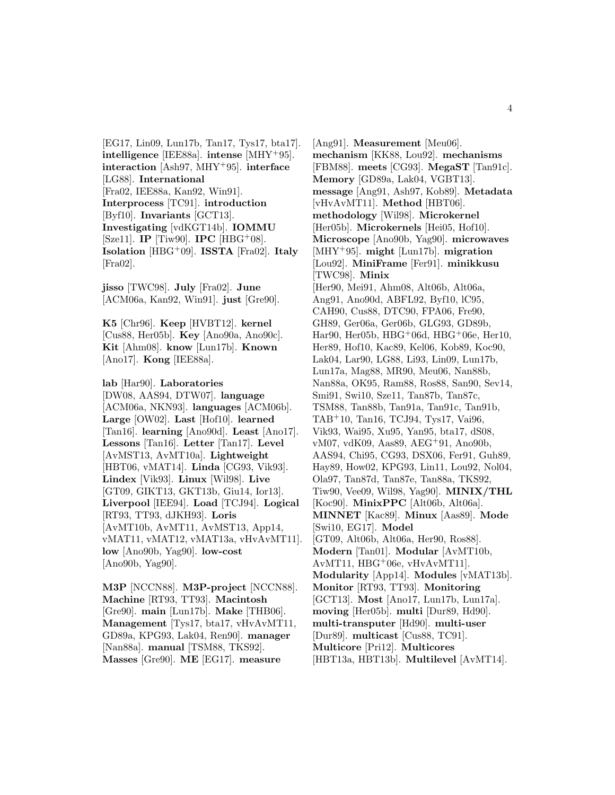[EG17, Lin09, Lun17b, Tan17, Tys17, bta17]. **intelligence** [IEE88a]. **intense** [MHY<sup>+</sup>95]. **interaction** [Ash97, MHY<sup>+</sup>95]. **interface** [LG88]. **International** [Fra02, IEE88a, Kan92, Win91]. **Interprocess** [TC91]. **introduction** [Byf10]. **Invariants** [GCT13]. **Investigating** [vdKGT14b]. **IOMMU** [Sze11]. **IP** [Tiw90]. **IPC** [HBG<sup>+</sup>08]. **Isolation** [HBG<sup>+</sup>09]. **ISSTA** [Fra02]. **Italy** [Fra02].

**jisso** [TWC98]. **July** [Fra02]. **June** [ACM06a, Kan92, Win91]. **just** [Gre90].

**K5** [Chr96]. **Keep** [HVBT12]. **kernel** [Cus88, Her05b]. **Key** [Ano90a, Ano90c]. **Kit** [Ahm08]. **know** [Lun17b]. **Known** [Ano17]. **Kong** [IEE88a].

**lab** [Har90]. **Laboratories** [DW08, AAS94, DTW07]. **language** [ACM06a, NKN93]. **languages** [ACM06b]. **Large** [OW02]. **Last** [Hof10]. **learned** [Tan16]. **learning** [Ano90d]. **Least** [Ano17]. **Lessons** [Tan16]. **Letter** [Tan17]. **Level** [AvMST13, AvMT10a]. **Lightweight** [HBT06, vMAT14]. **Linda** [CG93, Vik93]. **Lindex** [Vik93]. **Linux** [Wil98]. **Live** [GT09, GIKT13, GKT13b, Giu14, Ior13]. **Liverpool** [IEE94]. **Load** [TCJ94]. **Logical** [RT93, TT93, dJKH93]. **Loris** [AvMT10b, AvMT11, AvMST13, App14, vMAT11, vMAT12, vMAT13a, vHvAvMT11]. **low** [Ano90b, Yag90]. **low-cost** [Ano90b, Yag90].

**M3P** [NCCN88]. **M3P-project** [NCCN88]. **Machine** [RT93, TT93]. **Macintosh** [Gre90]. **main** [Lun17b]. **Make** [THB06]. **Management** [Tys17, bta17, vHvAvMT11, GD89a, KPG93, Lak04, Ren90]. **manager** [Nan88a]. **manual** [TSM88, TKS92]. **Masses** [Gre90]. **ME** [EG17]. **measure**

[Ang91]. **Measurement** [Meu06]. **mechanism** [KK88, Lou92]. **mechanisms** [FBM88]. **meets** [CG93]. **MegaST** [Tan91c]. **Memory** [GD89a, Lak04, VGBT13]. **message** [Ang91, Ash97, Kob89]. **Metadata** [vHvAvMT11]. **Method** [HBT06]. **methodology** [Wil98]. **Microkernel** [Her05b]. **Microkernels** [Hei05, Hof10]. **Microscope** [Ano90b, Yag90]. **microwaves** [MHY<sup>+</sup>95]. **might** [Lun17b]. **migration** [Lou92]. **MiniFrame** [Fer91]. **minikkusu** [TWC98]. **Minix** [Her90, Mei91, Ahm08, Alt06b, Alt06a, Ang91, Ano90d, ABFL92, Byf10, lC95, CAH90, Cus88, DTC90, FPA06, Fre90, GH89, Ger06a, Ger06b, GLG93, GD89b, Har90, Her05b, HBG<sup>+</sup>06d, HBG<sup>+</sup>06e, Her10, Her89, Hof10, Kac89, Kel06, Kob89, Koc90, Lak04, Lar90, LG88, Li93, Lin09, Lun17b, Lun17a, Mag88, MR90, Meu06, Nan88b, Nan88a, OK95, Ram88, Ros88, San90, Sev14, Smi91, Swi10, Sze11, Tan87b, Tan87c, TSM88, Tan88b, Tan91a, Tan91c, Tan91b, TAB<sup>+</sup>10, Tan16, TCJ94, Tys17, Vai96, Vik93, Wai95, Xu95, Yan95, bta17, dS08, vM07, vdK09, Aas89, AEG<sup>+</sup>91, Ano90b, AAS94, Chi95, CG93, DSX06, Fer91, Guh89, Hay89, How02, KPG93, Lin11, Lou92, Nol04, Ola97, Tan87d, Tan87e, Tan88a, TKS92, Tiw90, Vee09, Wil98, Yag90]. **MINIX/THL** [Koc90]. **MinixPPC** [Alt06b, Alt06a]. **MINNET** [Kac89]. **Minux** [Aas89]. **Mode** [Swi10, EG17]. **Model** [GT09, Alt06b, Alt06a, Her90, Ros88]. **Modern** [Tan01]. **Modular** [AvMT10b, AvMT11, HBG<sup>+</sup>06e, vHvAvMT11]. **Modularity** [App14]. **Modules** [vMAT13b]. **Monitor** [RT93, TT93]. **Monitoring** [GCT13]. **Most** [Ano17, Lun17b, Lun17a]. **moving** [Her05b]. **multi** [Dur89, Hd90]. **multi-transputer** [Hd90]. **multi-user** [Dur89]. **multicast** [Cus88, TC91]. **Multicore** [Pri12]. **Multicores** [HBT13a, HBT13b]. **Multilevel** [AvMT14].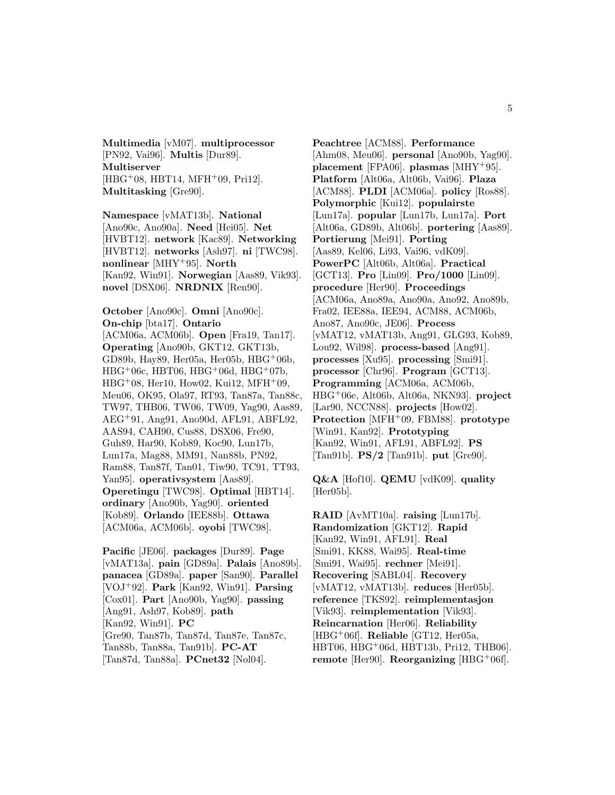**Multimedia** [vM07]. **multiprocessor** [PN92, Vai96]. **Multis** [Dur89]. **Multiserver**  $[HBG<sup>+</sup>08, HBT14, MFH<sup>+</sup>09, Pri12].$ **Multitasking** [Gre90].

**Namespace** [vMAT13b]. **National** [Ano90c, Ano90a]. **Need** [Hei05]. **Net** [HVBT12]. **network** [Kac89]. **Networking** [HVBT12]. **networks** [Ash97]. **ni** [TWC98]. **nonlinear** [MHY<sup>+</sup>95]. **North** [Kan92, Win91]. **Norwegian** [Aas89, Vik93]. **novel** [DSX06]. **NRDNIX** [Ren90].

**October** [Ano90c]. **Omni** [Ano90c]. **On-chip** [bta17]. **Ontario** [ACM06a, ACM06b]. **Open** [Fra19, Tan17]. **Operating** [Ano90b, GKT12, GKT13b, GD89b, Hay89, Her05a, Her05b, HBG<sup>+</sup>06b, HBG<sup>+</sup>06c, HBT06, HBG<sup>+</sup>06d, HBG<sup>+</sup>07b,  $HBG+08$ , Her10, How02, Kui12, MFH $+09$ , Meu06, OK95, Ola97, RT93, Tan87a, Tan88c, TW97, THB06, TW06, TW09, Yag90, Aas89, AEG<sup>+</sup>91, Ang91, Ano90d, AFL91, ABFL92, AAS94, CAH90, Cus88, DSX06, Fre90, Guh89, Har90, Kob89, Koc90, Lun17b, Lun17a, Mag88, MM91, Nan88b, PN92, Ram88, Tan87f, Tan01, Tiw90, TC91, TT93, Yan95]. **operativsystem** [Aas89]. **Operetingu** [TWC98]. **Optimal** [HBT14]. **ordinary** [Ano90b, Yag90]. **oriented** [Kob89]. **Orlando** [IEE88b]. **Ottawa** [ACM06a, ACM06b]. **oyobi** [TWC98].

**Pacific** [JE06]. **packages** [Dur89]. **Page** [vMAT13a]. **pain** [GD89a]. **Palais** [Ano89b]. **panacea** [GD89a]. **paper** [San90]. **Parallel** [VOJ<sup>+</sup>92]. **Park** [Kan92, Win91]. **Parsing** [Cox01]. **Part** [Ano90b, Yag90]. **passing** [Ang91, Ash97, Kob89]. **path** [Kan92, Win91]. **PC** [Gre90, Tan87b, Tan87d, Tan87e, Tan87c, Tan88b, Tan88a, Tan91b]. **PC-AT** [Tan87d, Tan88a]. **PCnet32** [Nol04].

**Peachtree** [ACM88]. **Performance** [Ahm08, Meu06]. **personal** [Ano90b, Yag90]. **placement** [FPA06]. **plasmas** [MHY<sup>+</sup>95]. **Platform** [Alt06a, Alt06b, Vai96]. **Plaza** [ACM88]. **PLDI** [ACM06a]. **policy** [Ros88]. **Polymorphic** [Kui12]. **populairste** [Lun17a]. **popular** [Lun17b, Lun17a]. **Port** [Alt06a, GD89b, Alt06b]. **portering** [Aas89]. **Portierung** [Mei91]. **Porting** [Aas89, Kel06, Li93, Vai96, vdK09]. **PowerPC** [Alt06b, Alt06a]. **Practical** [GCT13]. **Pro** [Lin09]. **Pro/1000** [Lin09]. **procedure** [Her90]. **Proceedings** [ACM06a, Ano89a, Ano90a, Ano92, Ano89b, Fra02, IEE88a, IEE94, ACM88, ACM06b, Ano87, Ano90c, JE06]. **Process** [vMAT12, vMAT13b, Ang91, GLG93, Kob89, Lou92, Wil98]. **process-based** [Ang91]. **processes** [Xu95]. **processing** [Smi91]. **processor** [Chr96]. **Program** [GCT13]. **Programming** [ACM06a, ACM06b, HBG<sup>+</sup>06e, Alt06b, Alt06a, NKN93]. **project** [Lar90, NCCN88]. **projects** [How02]. **Protection** [MFH<sup>+</sup>09, FBM88]. **prototype** [Win91, Kan92]. **Prototyping** [Kan92, Win91, AFL91, ABFL92]. **PS** [Tan91b]. **PS/2** [Tan91b]. **put** [Gre90].

**Q&A** [Hof10]. **QEMU** [vdK09]. **quality** [Her05b].

**RAID** [AvMT10a]. **raising** [Lun17b]. **Randomization** [GKT12]. **Rapid** [Kan92, Win91, AFL91]. **Real** [Smi91, KK88, Wai95]. **Real-time** [Smi91, Wai95]. **rechner** [Mei91]. **Recovering** [SABL04]. **Recovery** [vMAT12, vMAT13b]. **reduces** [Her05b]. **reference** [TKS92]. **reimplementasjon** [Vik93]. **reimplementation** [Vik93]. **Reincarnation** [Her06]. **Reliability** [HBG<sup>+</sup>06f]. **Reliable** [GT12, Her05a, HBT06, HBG<sup>+</sup>06d, HBT13b, Pri12, THB06]. **remote** [Her90]. **Reorganizing** [HBG<sup>+</sup>06f].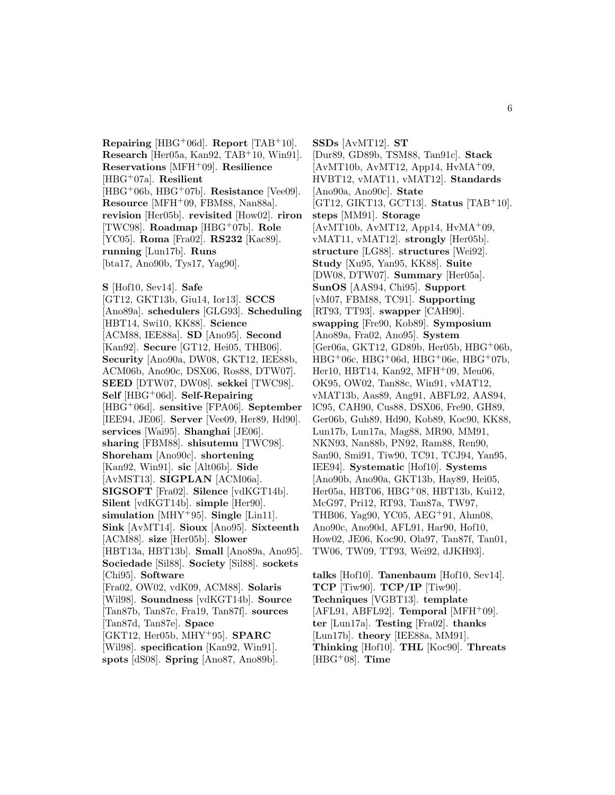**Repairing** [HBG<sup>+</sup>06d]. **Report** [TAB<sup>+</sup>10]. **Research** [Her05a, Kan92, TAB<sup>+</sup>10, Win91]. **Reservations** [MFH<sup>+</sup>09]. **Resilience** [HBG<sup>+</sup>07a]. **Resilient** [HBG<sup>+</sup>06b, HBG<sup>+</sup>07b]. **Resistance** [Vee09]. **Resource** [MFH<sup>+</sup>09, FBM88, Nan88a]. **revision** [Her05b]. **revisited** [How02]. **riron** [TWC98]. **Roadmap** [HBG<sup>+</sup>07b]. **Role** [YC05]. **Roma** [Fra02]. **RS232** [Kac89]. **running** [Lun17b]. **Runs** [bta17, Ano90b, Tys17, Yag90].

**S** [Hof10, Sev14]. **Safe** [GT12, GKT13b, Giu14, Ior13]. **SCCS** [Ano89a]. **schedulers** [GLG93]. **Scheduling** [HBT14, Swi10, KK88]. **Science** [ACM88, IEE88a]. **SD** [Ano95]. **Second** [Kan92]. **Secure** [GT12, Hei05, THB06]. **Security** [Ano90a, DW08, GKT12, IEE88b, ACM06b, Ano90c, DSX06, Ros88, DTW07]. **SEED** [DTW07, DW08]. **sekkei** [TWC98]. **Self** [HBG<sup>+</sup>06d]. **Self-Repairing** [HBG<sup>+</sup>06d]. **sensitive** [FPA06]. **September** [IEE94, JE06]. **Server** [Vee09, Her89, Hd90]. **services** [Wai95]. **Shanghai** [JE06]. **sharing** [FBM88]. **shisutemu** [TWC98]. **Shoreham** [Ano90c]. **shortening** [Kan92, Win91]. **sic** [Alt06b]. **Side** [AvMST13]. **SIGPLAN** [ACM06a]. **SIGSOFT** [Fra02]. **Silence** [vdKGT14b]. **Silent** [vdKGT14b]. **simple** [Her90]. **simulation** [MHY<sup>+</sup>95]. **Single** [Lin11]. **Sink** [AvMT14]. **Sioux** [Ano95]. **Sixteenth** [ACM88]. **size** [Her05b]. **Slower** [HBT13a, HBT13b]. **Small** [Ano89a, Ano95]. **Sociedade** [Sil88]. **Society** [Sil88]. **sockets** [Chi95]. **Software** [Fra02, OW02, vdK09, ACM88]. **Solaris** [Wil98]. **Soundness** [vdKGT14b]. **Source** [Tan87b, Tan87c, Fra19, Tan87f]. **sources** [Tan87d, Tan87e]. **Space** [GKT12, Her05b, MHY<sup>+</sup>95]. **SPARC** [Wil98]. **specification** [Kan92, Win91]. **spots** [dS08]. **Spring** [Ano87, Ano89b].

**SSDs** [AvMT12]. **ST** [Dur89, GD89b, TSM88, Tan91c]. **Stack**  $[AvMT10b, AvMT12, App14, HvMA<sup>+</sup>09,$ HVBT12, vMAT11, vMAT12]. **Standards** [Ano90a, Ano90c]. **State** [GT12, GIKT13, GCT13]. **Status** [TAB<sup>+</sup>10]. **steps** [MM91]. **Storage**  $[AvMT10b, AvMT12, App14, HvMA<sup>+</sup>09,$ vMAT11, vMAT12]. **strongly** [Her05b]. **structure** [LG88]. **structures** [Wei92]. **Study** [Xu95, Yan95, KK88]. **Suite** [DW08, DTW07]. **Summary** [Her05a]. **SunOS** [AAS94, Chi95]. **Support** [vM07, FBM88, TC91]. **Supporting** [RT93, TT93]. **swapper** [CAH90]. **swapping** [Fre90, Kob89]. **Symposium** [Ano89a, Fra02, Ano95]. **System** [Ger06a, GKT12, GD89b, Her05b, HBG<sup>+</sup>06b,  $HBG^+06c$ ,  $HBG^+06d$ ,  $HBG^+06e$ ,  $HBG^+07b$ , Her10, HBT14, Kan92, MFH<sup>+</sup>09, Meu06, OK95, OW02, Tan88c, Win91, vMAT12, vMAT13b, Aas89, Ang91, ABFL92, AAS94, lC95, CAH90, Cus88, DSX06, Fre90, GH89, Ger06b, Guh89, Hd90, Kob89, Koc90, KK88, Lun17b, Lun17a, Mag88, MR90, MM91, NKN93, Nan88b, PN92, Ram88, Ren90, San90, Smi91, Tiw90, TC91, TCJ94, Yan95, IEE94]. **Systematic** [Hof10]. **Systems** [Ano90b, Ano90a, GKT13b, Hay89, Hei05, Her05a, HBT06, HBG+08, HBT13b, Kui12, McG97, Pri12, RT93, Tan87a, TW97, THB06, Yag90, YC05, AEG<sup>+</sup>91, Ahm08, Ano90c, Ano90d, AFL91, Har90, Hof10, How02, JE06, Koc90, Ola97, Tan87f, Tan01, TW06, TW09, TT93, Wei92, dJKH93].

**talks** [Hof10]. **Tanenbaum** [Hof10, Sev14]. **TCP** [Tiw90]. **TCP/IP** [Tiw90]. **Techniques** [VGBT13]. **template** [AFL91, ABFL92]. **Temporal** [MFH<sup>+</sup>09]. **ter** [Lun17a]. **Testing** [Fra02]. **thanks** [Lun17b]. **theory** [IEE88a, MM91]. **Thinking** [Hof10]. **THL** [Koc90]. **Threats** [HBG<sup>+</sup>08]. **Time**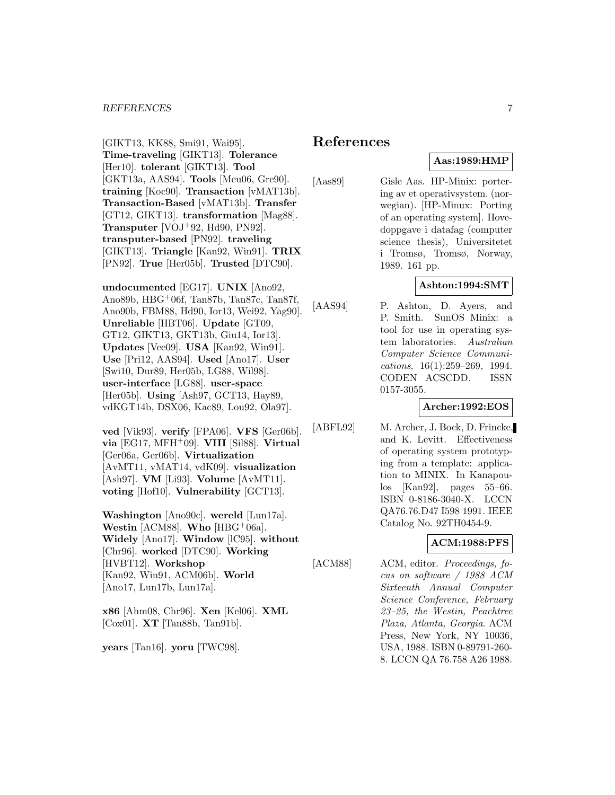#### *REFERENCES* 7

[GIKT13, KK88, Smi91, Wai95]. **Time-traveling** [GIKT13]. **Tolerance** [Her10]. **tolerant** [GIKT13]. **Tool** [GKT13a, AAS94]. **Tools** [Meu06, Gre90]. **training** [Koc90]. **Transaction** [vMAT13b]. **Transaction-Based** [vMAT13b]. **Transfer** [GT12, GIKT13]. **transformation** [Mag88]. **Transputer** [VOJ<sup>+</sup>92, Hd90, PN92]. **transputer-based** [PN92]. **traveling** [GIKT13]. **Triangle** [Kan92, Win91]. **TRIX** [PN92]. **True** [Her05b]. **Trusted** [DTC90].

**undocumented** [EG17]. **UNIX** [Ano92, Ano89b, HBG<sup>+</sup>06f, Tan87b, Tan87c, Tan87f, Ano90b, FBM88, Hd90, Ior13, Wei92, Yag90]. **Unreliable** [HBT06]. **Update** [GT09, GT12, GIKT13, GKT13b, Giu14, Ior13]. **Updates** [Vee09]. **USA** [Kan92, Win91]. **Use** [Pri12, AAS94]. **Used** [Ano17]. **User** [Swi10, Dur89, Her05b, LG88, Wil98]. **user-interface** [LG88]. **user-space** [Her05b]. **Using** [Ash97, GCT13, Hay89, vdKGT14b, DSX06, Kac89, Lou92, Ola97].

**ved** [Vik93]. **verify** [FPA06]. **VFS** [Ger06b]. **via** [EG17, MFH<sup>+</sup>09]. **VIII** [Sil88]. **Virtual** [Ger06a, Ger06b]. **Virtualization** [AvMT11, vMAT14, vdK09]. **visualization** [Ash97]. **VM** [Li93]. **Volume** [AvMT11]. **voting** [Hof10]. **Vulnerability** [GCT13].

**Washington** [Ano90c]. **wereld** [Lun17a]. **Westin** [ACM88]. **Who** [HBG<sup>+</sup>06a]. **Widely** [Ano17]. **Window** [lC95]. **without** [Chr96]. **worked** [DTC90]. **Working** [HVBT12]. **Workshop** [Kan92, Win91, ACM06b]. **World** [Ano17, Lun17b, Lun17a].

**x86** [Ahm08, Chr96]. **Xen** [Kel06]. **XML** [Cox01]. **XT** [Tan88b, Tan91b].

**years** [Tan16]. **yoru** [TWC98].

## **References**

# **Aas:1989:HMP**

[Aas89] Gisle Aas. HP-Minix: portering av et operativsystem. (norwegian). [HP-Minux: Porting of an operating system]. Hovedoppgave i datafag (computer science thesis), Universitetet i Tromsø, Tromsø, Norway, 1989. 161 pp.

## **Ashton:1994:SMT**

[AAS94] P. Ashton, D. Ayers, and P. Smith. SunOS Minix: a tool for use in operating system laboratories. Australian Computer Science Communications, 16(1):259–269, 1994. CODEN ACSCDD. ISSN 0157-3055.

**Archer:1992:EOS**

[ABFL92] M. Archer, J. Bock, D. Frincke, and K. Levitt. Effectiveness of operating system prototyping from a template: application to MINIX. In Kanapoulos [Kan92], pages 55–66. ISBN 0-8186-3040-X. LCCN QA76.76.D47 I598 1991. IEEE Catalog No. 92TH0454-9.

## **ACM:1988:PFS**

[ACM88] ACM, editor. Proceedings, focus on software / 1988 ACM Sixteenth Annual Computer Science Conference, February 23–25, the Westin, Peachtree Plaza, Atlanta, Georgia. ACM Press, New York, NY 10036, USA, 1988. ISBN 0-89791-260- 8. LCCN QA 76.758 A26 1988.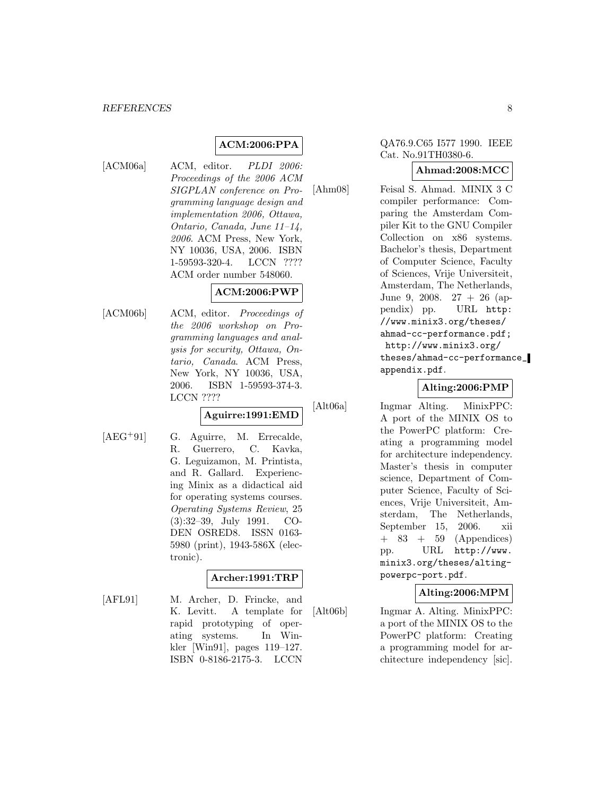#### *REFERENCES* 8

## **ACM:2006:PPA**

[ACM06a] ACM, editor. PLDI 2006: Proceedings of the 2006 ACM SIGPLAN conference on Programming language design and implementation 2006, Ottawa, Ontario, Canada, June 11–14, 2006. ACM Press, New York, NY 10036, USA, 2006. ISBN 1-59593-320-4. LCCN ???? ACM order number 548060.

## **ACM:2006:PWP**

[ACM06b] ACM, editor. Proceedings of the 2006 workshop on Programming languages and analysis for security, Ottawa, Ontario, Canada. ACM Press, New York, NY 10036, USA, 2006. ISBN 1-59593-374-3. LCCN ????

## **Aguirre:1991:EMD**

[AEG<sup>+</sup>91] G. Aguirre, M. Errecalde, R. Guerrero, C. Kavka, G. Leguizamon, M. Printista, and R. Gallard. Experiencing Minix as a didactical aid for operating systems courses. Operating Systems Review, 25 (3):32–39, July 1991. CO-DEN OSRED8. ISSN 0163- 5980 (print), 1943-586X (electronic).

## **Archer:1991:TRP**

[AFL91] M. Archer, D. Frincke, and K. Levitt. A template for rapid prototyping of operating systems. In Winkler [Win91], pages 119–127. ISBN 0-8186-2175-3. LCCN

## QA76.9.C65 I577 1990. IEEE Cat. No.91TH0380-6.

## **Ahmad:2008:MCC**

[Ahm08] Feisal S. Ahmad. MINIX 3 C compiler performance: Comparing the Amsterdam Compiler Kit to the GNU Compiler Collection on x86 systems. Bachelor's thesis, Department of Computer Science, Faculty of Sciences, Vrije Universiteit, Amsterdam, The Netherlands, June 9, 2008. 27 + 26 (appendix) pp. URL http: //www.minix3.org/theses/ ahmad-cc-performance.pdf; http://www.minix3.org/ theses/ahmad-cc-performance\_ appendix.pdf.

## **Alting:2006:PMP**

[Alt06a] Ingmar Alting. MinixPPC: A port of the MINIX OS to the PowerPC platform: Creating a programming model for architecture independency. Master's thesis in computer science, Department of Computer Science, Faculty of Sciences, Vrije Universiteit, Amsterdam, The Netherlands, September 15, 2006. xii + 83 + 59 (Appendices) pp. URL http://www. minix3.org/theses/altingpowerpc-port.pdf.

## **Alting:2006:MPM**

[Alt06b] Ingmar A. Alting. MinixPPC: a port of the MINIX OS to the PowerPC platform: Creating a programming model for architecture independency [sic].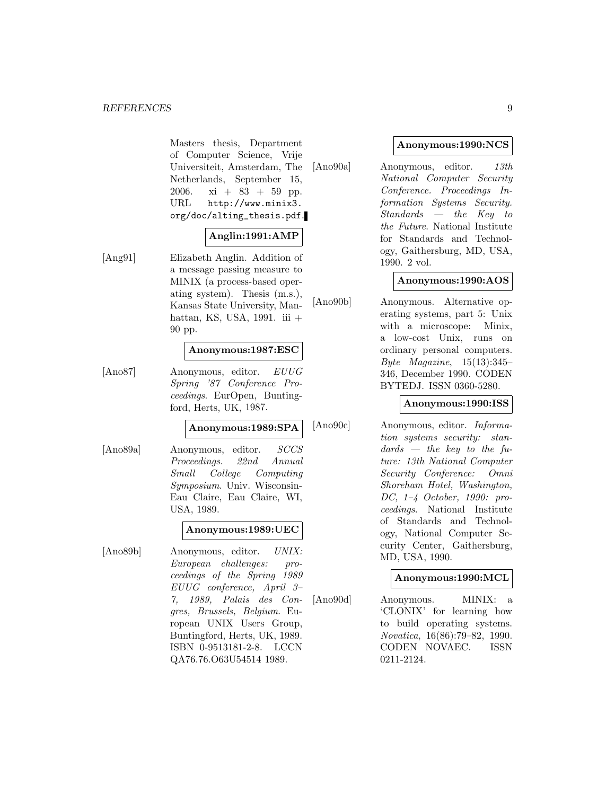Masters thesis, Department of Computer Science, Vrije Universiteit, Amsterdam, The Netherlands, September 15, 2006. xi +  $83 + 59$  pp. URL http://www.minix3. org/doc/alting\_thesis.pdf.

## **Anglin:1991:AMP**

[Ang91] Elizabeth Anglin. Addition of a message passing measure to MINIX (a process-based operating system). Thesis (m.s.), Kansas State University, Manhattan, KS, USA, 1991. iii + 90 pp.

### **Anonymous:1987:ESC**

[Ano87] Anonymous, editor. EUUG Spring '87 Conference Proceedings. EurOpen, Buntingford, Herts, UK, 1987.

#### **Anonymous:1989:SPA**

[Ano89a] Anonymous, editor. SCCS Proceedings. 22nd Annual Small College Computing Symposium. Univ. Wisconsin-Eau Claire, Eau Claire, WI, USA, 1989.

## **Anonymous:1989:UEC**

[Ano89b] Anonymous, editor. UNIX: European challenges: proceedings of the Spring 1989 EUUG conference, April 3– 7, 1989, Palais des Congres, Brussels, Belgium. European UNIX Users Group, Buntingford, Herts, UK, 1989. ISBN 0-9513181-2-8. LCCN QA76.76.O63U54514 1989.

#### **Anonymous:1990:NCS**

[Ano90a] Anonymous, editor. 13th National Computer Security Conference. Proceedings Information Systems Security. Standards — the Key to the Future. National Institute for Standards and Technology, Gaithersburg, MD, USA, 1990. 2 vol.

## **Anonymous:1990:AOS**

[Ano90b] Anonymous. Alternative operating systems, part 5: Unix with a microscope: Minix, a low-cost Unix, runs on ordinary personal computers. Byte Magazine,  $15(13):345-$ 346, December 1990. CODEN BYTEDJ. ISSN 0360-5280.

#### **Anonymous:1990:ISS**

[Ano90c] Anonymous, editor. Information systems security: stan $dards - the key to the fu$ ture: 13th National Computer Security Conference: Omni Shoreham Hotel, Washington, DC, 1–4 October, 1990: proceedings. National Institute of Standards and Technology, National Computer Security Center, Gaithersburg, MD, USA, 1990.

#### **Anonymous:1990:MCL**

[Ano90d] Anonymous. MINIX: a 'CLONIX' for learning how to build operating systems. Novatica, 16(86):79–82, 1990. CODEN NOVAEC. ISSN 0211-2124.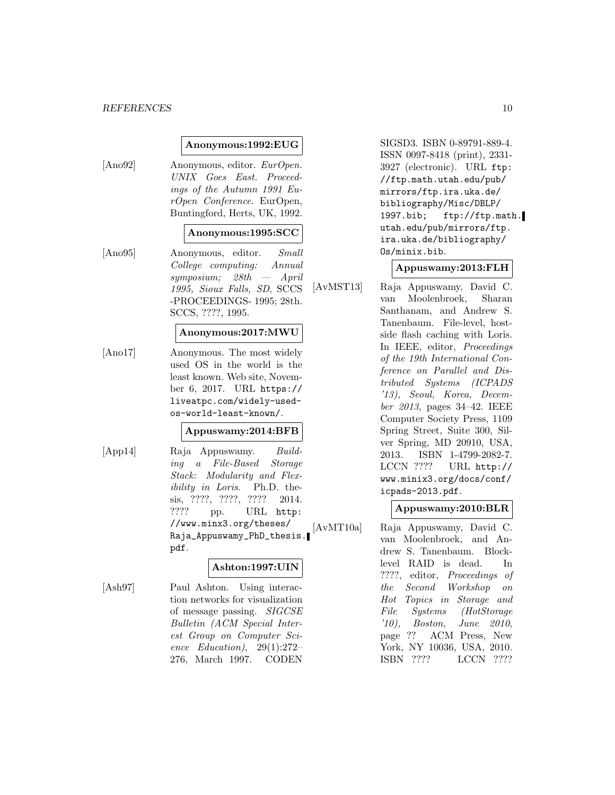#### **Anonymous:1992:EUG**

[Ano92] Anonymous, editor. EurOpen. UNIX Goes East. Proceedings of the Autumn 1991 EurOpen Conference. EurOpen, Buntingford, Herts, UK, 1992.

#### **Anonymous:1995:SCC**

[Ano95] Anonymous, editor. Small College computing: Annual symposium; 28th — April 1995, Sioux Falls, SD, SCCS -PROCEEDINGS- 1995; 28th. SCCS, ????, 1995.

#### **Anonymous:2017:MWU**

[Ano17] Anonymous. The most widely used OS in the world is the least known. Web site, November 6, 2017. URL https:// liveatpc.com/widely-usedos-world-least-known/.

#### **Appuswamy:2014:BFB**

[App14] Raja Appuswamy. Building a File-Based Storage Stack: Modularity and Flexibility in Loris. Ph.D. thesis, ????, ????, ???? 2014. ???? pp. URL http: //www.minx3.org/theses/ Raja\_Appuswamy\_PhD\_thesis. pdf.

#### **Ashton:1997:UIN**

[Ash97] Paul Ashton. Using interaction networks for visualization of message passing. SIGCSE Bulletin (ACM Special Interest Group on Computer Science Education), 29(1):272– 276, March 1997. CODEN

SIGSD3. ISBN 0-89791-889-4. ISSN 0097-8418 (print), 2331- 3927 (electronic). URL ftp: //ftp.math.utah.edu/pub/ mirrors/ftp.ira.uka.de/ bibliography/Misc/DBLP/ 1997.bib; ftp://ftp.math. utah.edu/pub/mirrors/ftp. ira.uka.de/bibliography/ Os/minix.bib.

## **Appuswamy:2013:FLH**

[AvMST13] Raja Appuswamy, David C. van Moolenbroek, Sharan Santhanam, and Andrew S. Tanenbaum. File-level, hostside flash caching with Loris. In IEEE, editor, Proceedings of the 19th International Conference on Parallel and Distributed Systems (ICPADS '13), Seoul, Korea, December 2013, pages 34–42. IEEE Computer Society Press, 1109 Spring Street, Suite 300, Silver Spring, MD 20910, USA, 2013. ISBN 1-4799-2082-7. LCCN ???? URL http:// www.minix3.org/docs/conf/ icpads-2013.pdf.

#### **Appuswamy:2010:BLR**

[AvMT10a] Raja Appuswamy, David C. van Moolenbroek, and Andrew S. Tanenbaum. Blocklevel RAID is dead. In ????, editor, Proceedings of the Second Workshop on Hot Topics in Storage and File Systems (HotStorage '10), Boston, June 2010, page ?? ACM Press, New York, NY 10036, USA, 2010. ISBN ???? LCCN ????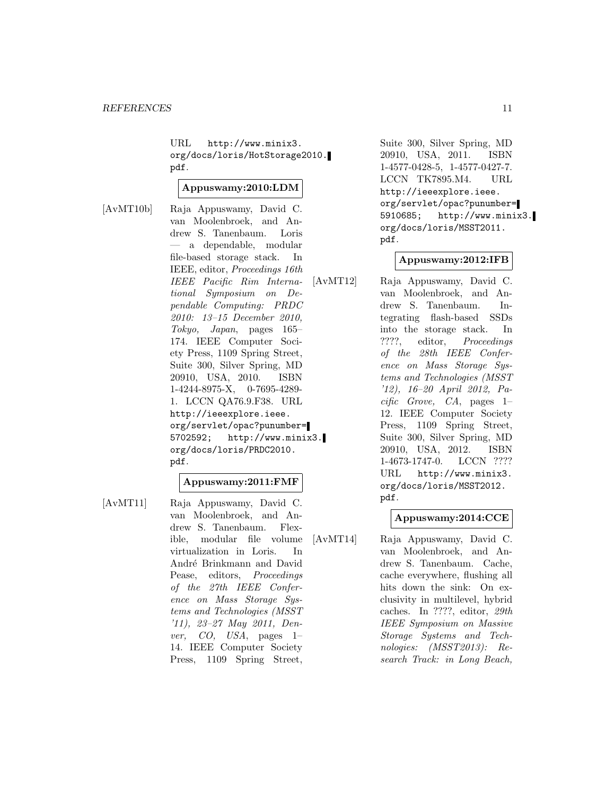URL http://www.minix3. org/docs/loris/HotStorage2010. pdf.

#### **Appuswamy:2010:LDM**

[AvMT10b] Raja Appuswamy, David C. van Moolenbroek, and Andrew S. Tanenbaum. Loris — a dependable, modular file-based storage stack. In IEEE, editor, Proceedings 16th IEEE Pacific Rim International Symposium on Dependable Computing: PRDC 2010: 13–15 December 2010, Tokyo, Japan, pages 165– 174. IEEE Computer Society Press, 1109 Spring Street, Suite 300, Silver Spring, MD 20910, USA, 2010. ISBN 1-4244-8975-X, 0-7695-4289- 1. LCCN QA76.9.F38. URL http://ieeexplore.ieee. org/servlet/opac?punumber= 5702592; http://www.minix3. org/docs/loris/PRDC2010. pdf.

## **Appuswamy:2011:FMF**

[AvMT11] Raja Appuswamy, David C. van Moolenbroek, and Andrew S. Tanenbaum. Flexible, modular file volume virtualization in Loris. In André Brinkmann and David Pease, editors, Proceedings of the 27th IEEE Conference on Mass Storage Systems and Technologies (MSST '11), 23–27 May 2011, Denver, CO, USA, pages 1– 14. IEEE Computer Society Press, 1109 Spring Street,

Suite 300, Silver Spring, MD 20910, USA, 2011. ISBN 1-4577-0428-5, 1-4577-0427-7. LCCN TK7895.M4. URL http://ieeexplore.ieee. org/servlet/opac?punumber= 5910685; http://www.minix3. org/docs/loris/MSST2011. pdf.

## **Appuswamy:2012:IFB**

[AvMT12] Raja Appuswamy, David C. van Moolenbroek, and Andrew S. Tanenbaum. Integrating flash-based SSDs into the storage stack. In ????, editor, Proceedings of the 28th IEEE Conference on Mass Storage Systems and Technologies (MSST '12), 16–20 April 2012, Pa $cific$  Grove, CA, pages 1– 12. IEEE Computer Society Press, 1109 Spring Street, Suite 300, Silver Spring, MD 20910, USA, 2012. ISBN 1-4673-1747-0. LCCN ???? URL http://www.minix3. org/docs/loris/MSST2012. pdf.

## **Appuswamy:2014:CCE**

[AvMT14] Raja Appuswamy, David C. van Moolenbroek, and Andrew S. Tanenbaum. Cache, cache everywhere, flushing all hits down the sink: On exclusivity in multilevel, hybrid caches. In ????, editor, 29th IEEE Symposium on Massive Storage Systems and Technologies: (MSST2013): Research Track: in Long Beach,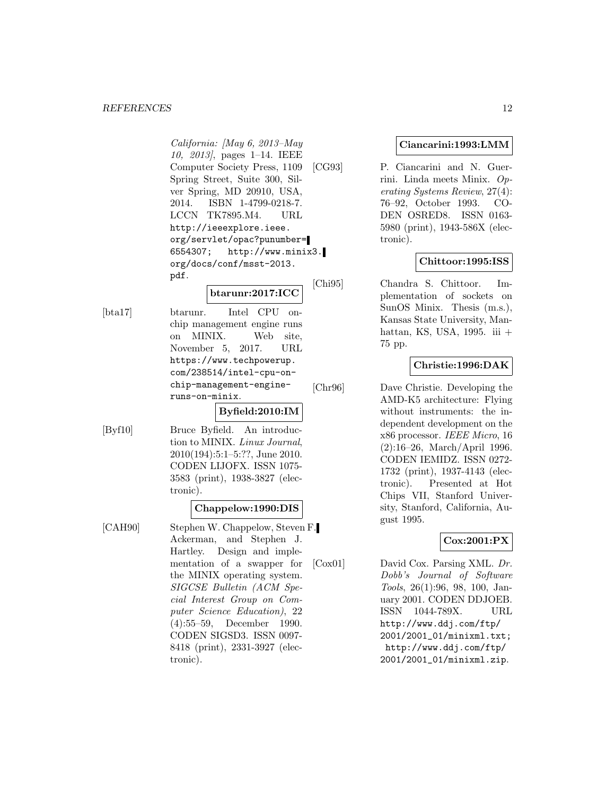#### *REFERENCES* 12

California: [May 6, 2013–May 10, 2013], pages 1–14. IEEE Computer Society Press, 1109 Spring Street, Suite 300, Silver Spring, MD 20910, USA, 2014. ISBN 1-4799-0218-7. LCCN TK7895.M4. URL http://ieeexplore.ieee. org/servlet/opac?punumber= 6554307; http://www.minix3. org/docs/conf/msst-2013. pdf.

## **btarunr:2017:ICC**

[bta17] btarunr. Intel CPU onchip management engine runs on MINIX. Web site, November 5, 2017. URL https://www.techpowerup. com/238514/intel-cpu-onchip-management-engineruns-on-minix.

## **Byfield:2010:IM**

[Byf10] Bruce Byfield. An introduction to MINIX. Linux Journal, 2010(194):5:1–5:??, June 2010. CODEN LIJOFX. ISSN 1075- 3583 (print), 1938-3827 (electronic).

#### **Chappelow:1990:DIS**

[CAH90] Stephen W. Chappelow, Steven F. Ackerman, and Stephen J. Hartley. Design and implementation of a swapper for the MINIX operating system. SIGCSE Bulletin (ACM Special Interest Group on Computer Science Education), 22 (4):55–59, December 1990. CODEN SIGSD3. ISSN 0097- 8418 (print), 2331-3927 (electronic).

#### **Ciancarini:1993:LMM**

[CG93] P. Ciancarini and N. Guerrini. Linda meets Minix. Operating Systems Review, 27(4): 76–92, October 1993. CO-DEN OSRED8. ISSN 0163- 5980 (print), 1943-586X (electronic).

## **Chittoor:1995:ISS**

[Chi95] Chandra S. Chittoor. Implementation of sockets on SunOS Minix. Thesis (m.s.), Kansas State University, Manhattan, KS, USA, 1995. iii + 75 pp.

## **Christie:1996:DAK**

[Chr96] Dave Christie. Developing the AMD-K5 architecture: Flying without instruments: the independent development on the x86 processor. IEEE Micro, 16 (2):16–26, March/April 1996. CODEN IEMIDZ. ISSN 0272- 1732 (print), 1937-4143 (electronic). Presented at Hot Chips VII, Stanford University, Stanford, California, August 1995.

## **Cox:2001:PX**

[Cox01] David Cox. Parsing XML. Dr. Dobb's Journal of Software Tools, 26(1):96, 98, 100, January 2001. CODEN DDJOEB. ISSN 1044-789X. URL http://www.ddj.com/ftp/ 2001/2001\_01/minixml.txt; http://www.ddj.com/ftp/ 2001/2001\_01/minixml.zip.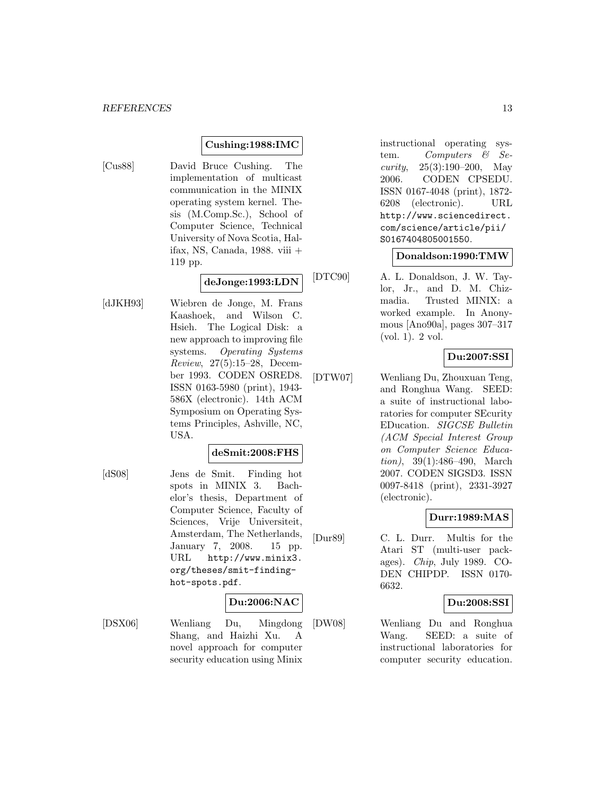#### **Cushing:1988:IMC**

[Cus88] David Bruce Cushing. The implementation of multicast communication in the MINIX operating system kernel. Thesis (M.Comp.Sc.), School of Computer Science, Technical University of Nova Scotia, Halifax, NS, Canada, 1988. viii + 119 pp.

## **deJonge:1993:LDN**

[dJKH93] Wiebren de Jonge, M. Frans Kaashoek, and Wilson C. Hsieh. The Logical Disk: a new approach to improving file systems. Operating Systems Review, 27(5):15–28, December 1993. CODEN OSRED8. ISSN 0163-5980 (print), 1943- 586X (electronic). 14th ACM Symposium on Operating Systems Principles, Ashville, NC, USA.

#### **deSmit:2008:FHS**

[dS08] Jens de Smit. Finding hot spots in MINIX 3. Bachelor's thesis, Department of Computer Science, Faculty of Sciences, Vrije Universiteit, Amsterdam, The Netherlands, January 7, 2008. 15 pp. URL http://www.minix3. org/theses/smit-findinghot-spots.pdf.

## **Du:2006:NAC**

[DSX06] Wenliang Du, Mingdong Shang, and Haizhi Xu. A novel approach for computer security education using Minix

instructional operating system. Computers & Security,  $25(3):190-200$ , May 2006. CODEN CPSEDU. ISSN 0167-4048 (print), 1872- 6208 (electronic). URL http://www.sciencedirect. com/science/article/pii/ S0167404805001550.

#### **Donaldson:1990:TMW**

[DTC90] A. L. Donaldson, J. W. Taylor, Jr., and D. M. Chizmadia. Trusted MINIX: a worked example. In Anonymous [Ano90a], pages 307–317 (vol. 1). 2 vol.

#### **Du:2007:SSI**

[DTW07] Wenliang Du, Zhouxuan Teng, and Ronghua Wang. SEED: a suite of instructional laboratories for computer SEcurity EDucation. SIGCSE Bulletin (ACM Special Interest Group on Computer Science Education), 39(1):486–490, March 2007. CODEN SIGSD3. ISSN 0097-8418 (print), 2331-3927 (electronic).

#### **Durr:1989:MAS**

[Dur89] C. L. Durr. Multis for the Atari ST (multi-user packages). Chip, July 1989. CO-DEN CHIPDP. ISSN 0170- 6632.

## **Du:2008:SSI**

[DW08] Wenliang Du and Ronghua Wang. SEED: a suite of instructional laboratories for computer security education.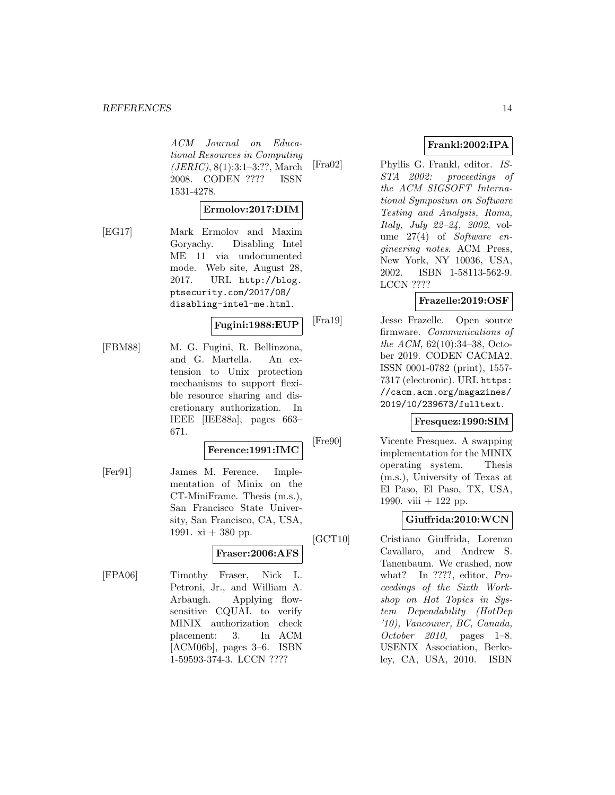#### *REFERENCES* 14

ACM Journal on Educational Resources in Computing (JERIC), 8(1):3:1–3:??, March 2008. CODEN ???? ISSN 1531-4278.

#### **Ermolov:2017:DIM**

[EG17] Mark Ermolov and Maxim Goryachy. Disabling Intel ME 11 via undocumented mode. Web site, August 28, 2017. URL http://blog. ptsecurity.com/2017/08/ disabling-intel-me.html.

## **Fugini:1988:EUP**

[FBM88] M. G. Fugini, R. Bellinzona, and G. Martella. An extension to Unix protection mechanisms to support flexible resource sharing and discretionary authorization. In IEEE [IEE88a], pages 663– 671.

#### **Ference:1991:IMC**

[Fer91] James M. Ference. Implementation of Minix on the CT-MiniFrame. Thesis (m.s.), San Francisco State University, San Francisco, CA, USA, 1991.  $xi + 380$  pp.

## **Fraser:2006:AFS**

[FPA06] Timothy Fraser, Nick L. Petroni, Jr., and William A. Arbaugh. Applying flowsensitive CQUAL to verify MINIX authorization check placement: 3. In ACM [ACM06b], pages 3–6. ISBN 1-59593-374-3. LCCN ????

## **Frankl:2002:IPA**

[Fra02] Phyllis G. Frankl, editor. IS-STA 2002: proceedings of the ACM SIGSOFT International Symposium on Software Testing and Analysis, Roma, Italy, July 22–24, 2002, volume  $27(4)$  of Software engineering notes. ACM Press, New York, NY 10036, USA, 2002. ISBN 1-58113-562-9. LCCN ????

## **Frazelle:2019:OSF**

[Fra19] Jesse Frazelle. Open source firmware. Communications of the ACM, 62(10):34–38, October 2019. CODEN CACMA2. ISSN 0001-0782 (print), 1557- 7317 (electronic). URL https: //cacm.acm.org/magazines/ 2019/10/239673/fulltext.

## **Fresquez:1990:SIM**

[Fre90] Vicente Fresquez. A swapping implementation for the MINIX operating system. Thesis (m.s.), University of Texas at El Paso, El Paso, TX, USA, 1990. viii + 122 pp.

#### **Giuffrida:2010:WCN**

[GCT10] Cristiano Giuffrida, Lorenzo Cavallaro, and Andrew S. Tanenbaum. We crashed, now what? In ????, editor, Proceedings of the Sixth Workshop on Hot Topics in System Dependability (HotDep '10), Vancouver, BC, Canada, October 2010, pages 1–8. USENIX Association, Berkeley, CA, USA, 2010. ISBN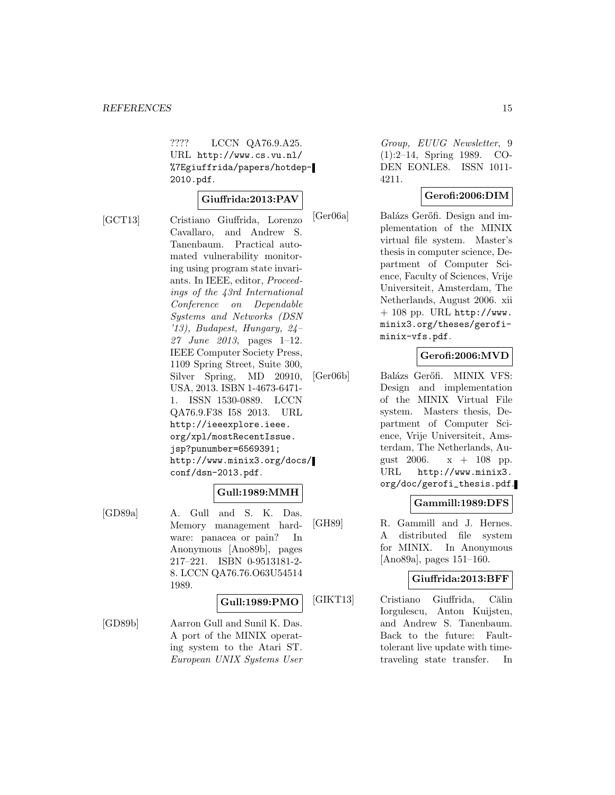???? LCCN QA76.9.A25. URL http://www.cs.vu.nl/ %7Egiuffrida/papers/hotdep-2010.pdf.

#### **Giuffrida:2013:PAV**

[GCT13] Cristiano Giuffrida, Lorenzo Cavallaro, and Andrew S. Tanenbaum. Practical automated vulnerability monitoring using program state invariants. In IEEE, editor, Proceedings of the 43rd International Conference on Dependable Systems and Networks (DSN '13), Budapest, Hungary, 24– 27 June 2013, pages 1–12. IEEE Computer Society Press, 1109 Spring Street, Suite 300, Silver Spring, MD 20910, USA, 2013. ISBN 1-4673-6471- 1. ISSN 1530-0889. LCCN QA76.9.F38 I58 2013. URL http://ieeexplore.ieee. org/xpl/mostRecentIssue. jsp?punumber=6569391; http://www.minix3.org/docs/ conf/dsn-2013.pdf.

#### **Gull:1989:MMH**

[GD89a] A. Gull and S. K. Das. Memory management hardware: panacea or pain? In Anonymous [Ano89b], pages 217–221. ISBN 0-9513181-2- 8. LCCN QA76.76.O63U54514 1989.

#### **Gull:1989:PMO**

[GD89b] Aarron Gull and Sunil K. Das. A port of the MINIX operating system to the Atari ST. European UNIX Systems User

Group, EUUG Newsletter, 9 (1):2–14, Spring 1989. CO-DEN EONLE8. ISSN 1011- 4211.

#### **Gerofi:2006:DIM**

[Ger06a] Balázs Gerőfi. Design and implementation of the MINIX virtual file system. Master's thesis in computer science, Department of Computer Science, Faculty of Sciences, Vrije Universiteit, Amsterdam, The Netherlands, August 2006. xii  $+$  108 pp. URL http://www. minix3.org/theses/gerofiminix-vfs.pdf.

## **Gerofi:2006:MVD**

[Ger06b] Balázs Gerőfi. MINIX VFS: Design and implementation of the MINIX Virtual File system. Masters thesis, Department of Computer Science, Vrije Universiteit, Amsterdam, The Netherlands, August 2006.  $x + 108$  pp. URL http://www.minix3. org/doc/gerofi\_thesis.pdf.

#### **Gammill:1989:DFS**

[GH89] R. Gammill and J. Hernes. A distributed file system for MINIX. In Anonymous [Ano89a], pages 151–160.

#### **Giuffrida:2013:BFF**

[GIKT13] Cristiano Giuffrida, Călin Iorgulescu, Anton Kuijsten, and Andrew S. Tanenbaum. Back to the future: Faulttolerant live update with timetraveling state transfer. In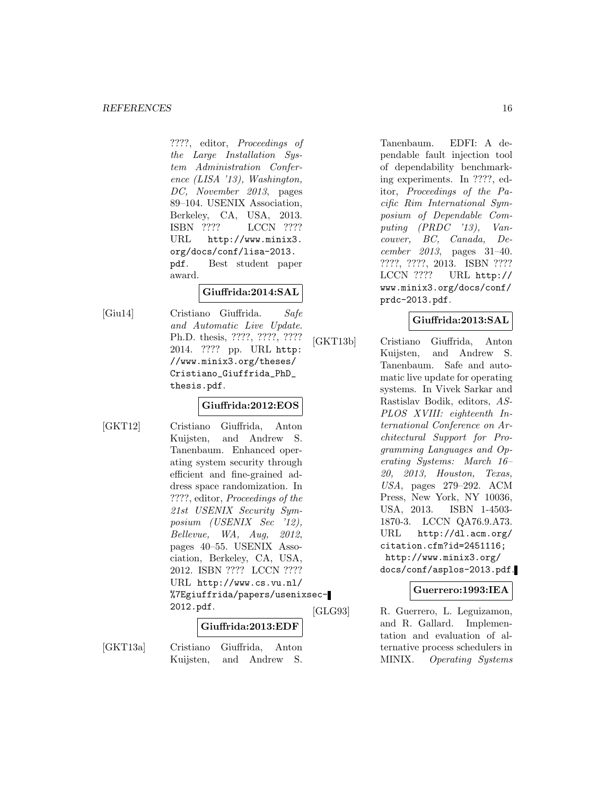????, editor, Proceedings of the Large Installation System Administration Conference (LISA '13), Washington, DC, November 2013, pages 89–104. USENIX Association, Berkeley, CA, USA, 2013. ISBN ???? LCCN ???? URL http://www.minix3. org/docs/conf/lisa-2013. pdf. Best student paper award.

## **Giuffrida:2014:SAL**

[Giu14] Cristiano Giuffrida. Safe and Automatic Live Update. Ph.D. thesis, ????, ????, ???? 2014. ???? pp. URL http: //www.minix3.org/theses/ Cristiano\_Giuffrida\_PhD\_ thesis.pdf.

## **Giuffrida:2012:EOS**

[GKT12] Cristiano Giuffrida, Anton Kuijsten, and Andrew S. Tanenbaum. Enhanced operating system security through efficient and fine-grained address space randomization. In ????, editor, Proceedings of the 21st USENIX Security Symposium (USENIX Sec '12), Bellevue, WA, Aug, 2012, pages 40–55. USENIX Association, Berkeley, CA, USA, 2012. ISBN ???? LCCN ???? URL http://www.cs.vu.nl/ %7Egiuffrida/papers/usenixsec-2012.pdf.

#### **Giuffrida:2013:EDF**

[GKT13a] Cristiano Giuffrida, Anton Kuijsten, and Andrew S.

Tanenbaum. EDFI: A dependable fault injection tool of dependability benchmarking experiments. In ????, editor, Proceedings of the Pacific Rim International Symposium of Dependable Computing (PRDC '13), Vancouver, BC, Canada, December 2013, pages 31–40. ????, ????, 2013. ISBN ???? LCCN ???? URL http:// www.minix3.org/docs/conf/ prdc-2013.pdf.

## **Giuffrida:2013:SAL**

[GKT13b] Cristiano Giuffrida, Anton Kuijsten, and Andrew S. Tanenbaum. Safe and automatic live update for operating systems. In Vivek Sarkar and Rastislav Bodik, editors, AS-PLOS XVIII: eighteenth International Conference on Architectural Support for Programming Languages and Operating Systems: March 16– 20, 2013, Houston, Texas, USA, pages 279–292. ACM Press, New York, NY 10036, USA, 2013. ISBN 1-4503- 1870-3. LCCN QA76.9.A73. URL http://dl.acm.org/ citation.cfm?id=2451116; http://www.minix3.org/ docs/conf/asplos-2013.pdf.

#### **Guerrero:1993:IEA**

[GLG93] R. Guerrero, L. Leguizamon, and R. Gallard. Implementation and evaluation of alternative process schedulers in MINIX. Operating Systems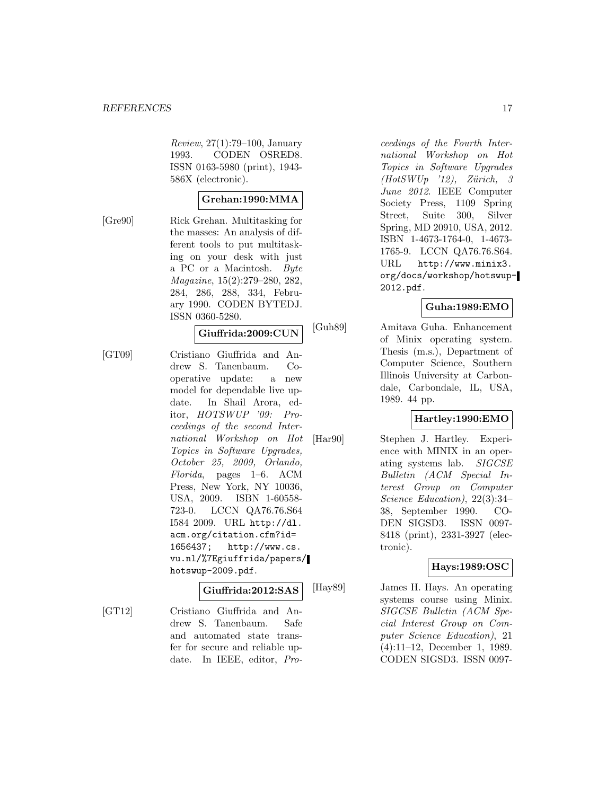Review, 27(1):79–100, January 1993. CODEN OSRED8. ISSN 0163-5980 (print), 1943- 586X (electronic).

## **Grehan:1990:MMA**

[Gre90] Rick Grehan. Multitasking for the masses: An analysis of different tools to put multitasking on your desk with just a PC or a Macintosh. Byte Magazine, 15(2):279–280, 282, 284, 286, 288, 334, February 1990. CODEN BYTEDJ. ISSN 0360-5280.

#### **Giuffrida:2009:CUN**

[GT09] Cristiano Giuffrida and Andrew S. Tanenbaum. Cooperative update: a new model for dependable live update. In Shail Arora, editor, HOTSWUP '09: Proceedings of the second International Workshop on Hot Topics in Software Upgrades, October 25, 2009, Orlando, Florida, pages 1–6. ACM Press, New York, NY 10036, USA, 2009. ISBN 1-60558- 723-0. LCCN QA76.76.S64 I584 2009. URL http://dl. acm.org/citation.cfm?id= 1656437; http://www.cs. vu.nl/%7Egiuffrida/papers/ hotswup-2009.pdf.

## **Giuffrida:2012:SAS**

[GT12] Cristiano Giuffrida and Andrew S. Tanenbaum. Safe and automated state transfer for secure and reliable update. In IEEE, editor, Pro-

ceedings of the Fourth International Workshop on Hot Topics in Software Upgrades  $(HotSWUp<sup>-12</sup>)$ , Zürich, 3 June 2012. IEEE Computer Society Press, 1109 Spring Street, Suite 300, Silver Spring, MD 20910, USA, 2012. ISBN 1-4673-1764-0, 1-4673- 1765-9. LCCN QA76.76.S64. URL http://www.minix3. org/docs/workshop/hotswup-2012.pdf.

#### **Guha:1989:EMO**

[Guh89] Amitava Guha. Enhancement of Minix operating system. Thesis (m.s.), Department of Computer Science, Southern Illinois University at Carbondale, Carbondale, IL, USA, 1989. 44 pp.

## **Hartley:1990:EMO**

[Har90] Stephen J. Hartley. Experience with MINIX in an operating systems lab. SIGCSE Bulletin (ACM Special Interest Group on Computer Science Education), 22(3):34– 38, September 1990. CO-DEN SIGSD3. ISSN 0097- 8418 (print), 2331-3927 (electronic).

#### **Hays:1989:OSC**

[Hay89] James H. Hays. An operating systems course using Minix. SIGCSE Bulletin (ACM Special Interest Group on Computer Science Education), 21 (4):11–12, December 1, 1989. CODEN SIGSD3. ISSN 0097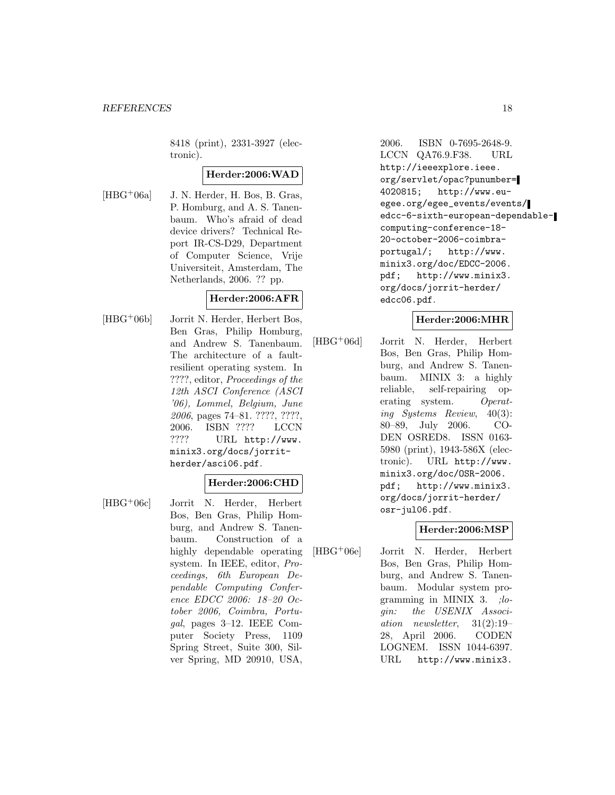8418 (print), 2331-3927 (electronic).

#### **Herder:2006:WAD**

 $[HBG<sup>+</sup>06a]$  J. N. Herder, H. Bos, B. Gras, P. Homburg, and A. S. Tanenbaum. Who's afraid of dead device drivers? Technical Report IR-CS-D29, Department of Computer Science, Vrije Universiteit, Amsterdam, The Netherlands, 2006. ?? pp.

## **Herder:2006:AFR**

[HBG<sup>+</sup>06b] Jorrit N. Herder, Herbert Bos, Ben Gras, Philip Homburg, and Andrew S. Tanenbaum. The architecture of a faultresilient operating system. In ????, editor, Proceedings of the 12th ASCI Conference (ASCI '06), Lommel, Belgium, June 2006, pages 74–81. ????, ????, 2006. ISBN ???? LCCN ???? URL http://www. minix3.org/docs/jorritherder/asci06.pdf.

#### **Herder:2006:CHD**

[HBG<sup>+</sup>06c] Jorrit N. Herder, Herbert Bos, Ben Gras, Philip Homburg, and Andrew S. Tanenbaum. Construction of a highly dependable operating system. In IEEE, editor, Proceedings, 6th European Dependable Computing Conference EDCC 2006: 18–20 October 2006, Coimbra, Portugal, pages 3–12. IEEE Computer Society Press, 1109 Spring Street, Suite 300, Silver Spring, MD 20910, USA,

2006. ISBN 0-7695-2648-9. LCCN QA76.9.F38. URL http://ieeexplore.ieee. org/servlet/opac?punumber= 4020815; http://www.euegee.org/egee\_events/events/ edcc-6-sixth-european-dependablecomputing-conference-18- 20-october-2006-coimbraportugal/; http://www. minix3.org/doc/EDCC-2006. pdf; http://www.minix3. org/docs/jorrit-herder/ edcc06.pdf.

#### **Herder:2006:MHR**

[HBG<sup>+</sup>06d] Jorrit N. Herder, Herbert Bos, Ben Gras, Philip Homburg, and Andrew S. Tanenbaum. MINIX 3: a highly reliable, self-repairing operating system. Operating Systems Review, 40(3): 80–89, July 2006. CO-DEN OSRED8. ISSN 0163- 5980 (print), 1943-586X (electronic). URL http://www. minix3.org/doc/OSR-2006. pdf; http://www.minix3. org/docs/jorrit-herder/ osr-jul06.pdf.

## **Herder:2006:MSP**

[HBG<sup>+</sup>06e] Jorrit N. Herder, Herbert Bos, Ben Gras, Philip Homburg, and Andrew S. Tanenbaum. Modular system programming in MINIX  $3.$  ; login: the USENIX Association newsletter, 31(2):19– 28, April 2006. CODEN LOGNEM. ISSN 1044-6397. URL http://www.minix3.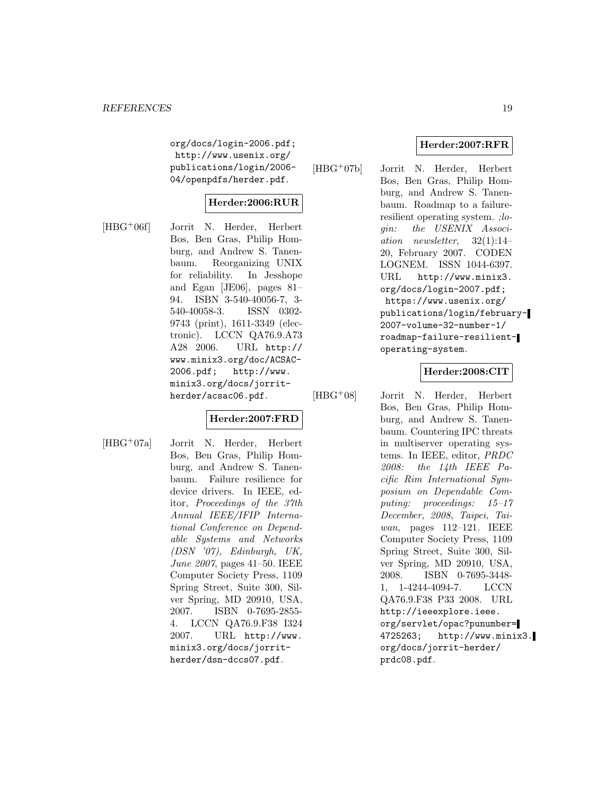org/docs/login-2006.pdf; http://www.usenix.org/ publications/login/2006- 04/openpdfs/herder.pdf.

## **Herder:2006:RUR**

[HBG<sup>+</sup>06f] Jorrit N. Herder, Herbert Bos, Ben Gras, Philip Homburg, and Andrew S. Tanenbaum. Reorganizing UNIX for reliability. In Jesshope and Egan [JE06], pages 81– 94. ISBN 3-540-40056-7, 3- 540-40058-3. ISSN 0302- 9743 (print), 1611-3349 (electronic). LCCN QA76.9.A73 A28 2006. URL http:// www.minix3.org/doc/ACSAC-2006.pdf; http://www. minix3.org/docs/jorritherder/acsac06.pdf.

## **Herder:2007:FRD**

[HBG<sup>+</sup>07a] Jorrit N. Herder, Herbert Bos, Ben Gras, Philip Homburg, and Andrew S. Tanenbaum. Failure resilience for device drivers. In IEEE, editor, Proceedings of the 37th Annual IEEE/IFIP International Conference on Dependable Systems and Networks (DSN '07), Edinburgh, UK, June 2007, pages 41–50. IEEE Computer Society Press, 1109 Spring Street, Suite 300, Silver Spring, MD 20910, USA, 2007. ISBN 0-7695-2855- 4. LCCN QA76.9.F38 I324 2007. URL http://www. minix3.org/docs/jorritherder/dsn-dccs07.pdf.

## **Herder:2007:RFR**

[HBG<sup>+</sup>07b] Jorrit N. Herder, Herbert Bos, Ben Gras, Philip Homburg, and Andrew S. Tanenbaum. Roadmap to a failureresilient operating system. ;login: the USENIX Association newsletter, 32(1):14– 20, February 2007. CODEN LOGNEM. ISSN 1044-6397. URL http://www.minix3. org/docs/login-2007.pdf; https://www.usenix.org/ publications/login/february-2007-volume-32-number-1/ roadmap-failure-resilientoperating-system.

#### **Herder:2008:CIT**

[HBG<sup>+</sup>08] Jorrit N. Herder, Herbert Bos, Ben Gras, Philip Homburg, and Andrew S. Tanenbaum. Countering IPC threats in multiserver operating systems. In IEEE, editor, PRDC 2008: the 14th IEEE Pacific Rim International Symposium on Dependable Computing: proceedings: 15–17 December, 2008, Taipei, Taiwan, pages 112–121. IEEE Computer Society Press, 1109 Spring Street, Suite 300, Silver Spring, MD 20910, USA, 2008. ISBN 0-7695-3448- 1, 1-4244-4094-7. LCCN QA76.9.F38 P33 2008. URL http://ieeexplore.ieee. org/servlet/opac?punumber= 4725263; http://www.minix3. org/docs/jorrit-herder/ prdc08.pdf.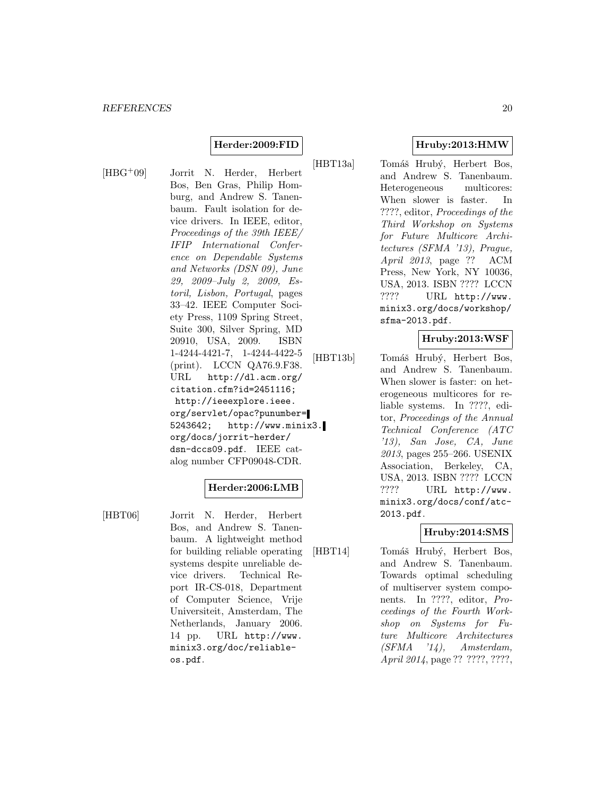#### **Herder:2009:FID**

[HBG<sup>+</sup>09] Jorrit N. Herder, Herbert Bos, Ben Gras, Philip Homburg, and Andrew S. Tanenbaum. Fault isolation for device drivers. In IEEE, editor, Proceedings of the 39th IEEE/ IFIP International Conference on Dependable Systems and Networks (DSN 09), June 29, 2009–July 2, 2009, Estoril, Lisbon, Portugal, pages 33–42. IEEE Computer Society Press, 1109 Spring Street, Suite 300, Silver Spring, MD 20910, USA, 2009. ISBN 1-4244-4421-7, 1-4244-4422-5 (print). LCCN QA76.9.F38. URL http://dl.acm.org/ citation.cfm?id=2451116; http://ieeexplore.ieee. org/servlet/opac?punumber= 5243642; http://www.minix3. org/docs/jorrit-herder/ dsn-dccs09.pdf. IEEE catalog number CFP09048-CDR.

#### **Herder:2006:LMB**

[HBT06] Jorrit N. Herder, Herbert Bos, and Andrew S. Tanenbaum. A lightweight method for building reliable operating systems despite unreliable device drivers. Technical Report IR-CS-018, Department of Computer Science, Vrije Universiteit, Amsterdam, The Netherlands, January 2006. 14 pp. URL http://www. minix3.org/doc/reliableos.pdf.

**Hruby:2013:HMW**

[HBT13a] Tomáš Hrubý, Herbert Bos, and Andrew S. Tanenbaum. Heterogeneous multicores: When slower is faster. In ????, editor, Proceedings of the Third Workshop on Systems for Future Multicore Architectures (SFMA '13), Prague, April 2013, page ?? ACM Press, New York, NY 10036, USA, 2013. ISBN ???? LCCN ???? URL http://www. minix3.org/docs/workshop/ sfma-2013.pdf.

#### **Hruby:2013:WSF**

[HBT13b] Tomáš Hrubý, Herbert Bos, and Andrew S. Tanenbaum. When slower is faster: on heterogeneous multicores for reliable systems. In ????, editor, Proceedings of the Annual Technical Conference (ATC '13), San Jose, CA, June 2013, pages 255–266. USENIX Association, Berkeley, CA, USA, 2013. ISBN ???? LCCN ???? URL http://www. minix3.org/docs/conf/atc-2013.pdf.

#### **Hruby:2014:SMS**

[HBT14] Tomáš Hrubý, Herbert Bos, and Andrew S. Tanenbaum. Towards optimal scheduling of multiserver system components. In ????, editor, Proceedings of the Fourth Workshop on Systems for Future Multicore Architectures  $(SFMA$  '14), Amsterdam, April 2014, page ?? ????, ????,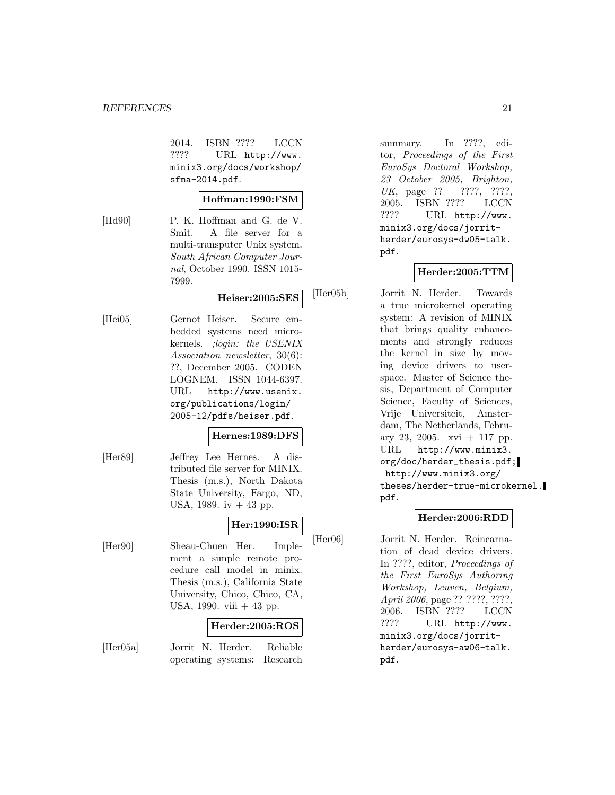2014. ISBN ???? LCCN ???? URL http://www. minix3.org/docs/workshop/ sfma-2014.pdf.

## **Hoffman:1990:FSM**

[Hd90] P. K. Hoffman and G. de V. Smit. A file server for a multi-transputer Unix system. South African Computer Journal, October 1990. ISSN 1015- 7999.

## **Heiser:2005:SES**

[Hei05] Gernot Heiser. Secure embedded systems need microkernels. ;login: the USENIX Association newsletter, 30(6): ??, December 2005. CODEN LOGNEM. ISSN 1044-6397. URL http://www.usenix. org/publications/login/ 2005-12/pdfs/heiser.pdf.

## **Hernes:1989:DFS**

[Her89] Jeffrey Lee Hernes. A distributed file server for MINIX. Thesis (m.s.), North Dakota State University, Fargo, ND, USA, 1989. iv  $+43$  pp.

## **Her:1990:ISR**

[Her90] Sheau-Chuen Her. Implement a simple remote procedure call model in minix. Thesis (m.s.), California State University, Chico, Chico, CA, USA, 1990. viii  $+43$  pp.

## **Herder:2005:ROS**

[Her05a] Jorrit N. Herder. Reliable operating systems: Research

summary. In ????, editor, Proceedings of the First EuroSys Doctoral Workshop, 23 October 2005, Brighton, UK, page ?? ????, ????, 2005. ISBN ???? LCCN ???? URL http://www. minix3.org/docs/jorritherder/eurosys-dw05-talk. pdf.

## **Herder:2005:TTM**

[Her05b] Jorrit N. Herder. Towards a true microkernel operating system: A revision of MINIX that brings quality enhancements and strongly reduces the kernel in size by moving device drivers to userspace. Master of Science thesis, Department of Computer Science, Faculty of Sciences, Vrije Universiteit, Amsterdam, The Netherlands, February 23, 2005.  $xvi + 117$  pp. URL http://www.minix3. org/doc/herder\_thesis.pdf; http://www.minix3.org/ theses/herder-true-microkernel. pdf.

## **Herder:2006:RDD**

[Her06] Jorrit N. Herder. Reincarnation of dead device drivers. In ????, editor, Proceedings of the First EuroSys Authoring Workshop, Leuven, Belgium, April 2006, page ?? ????, ????, 2006. ISBN ???? LCCN ???? URL http://www. minix3.org/docs/jorritherder/eurosys-aw06-talk. pdf.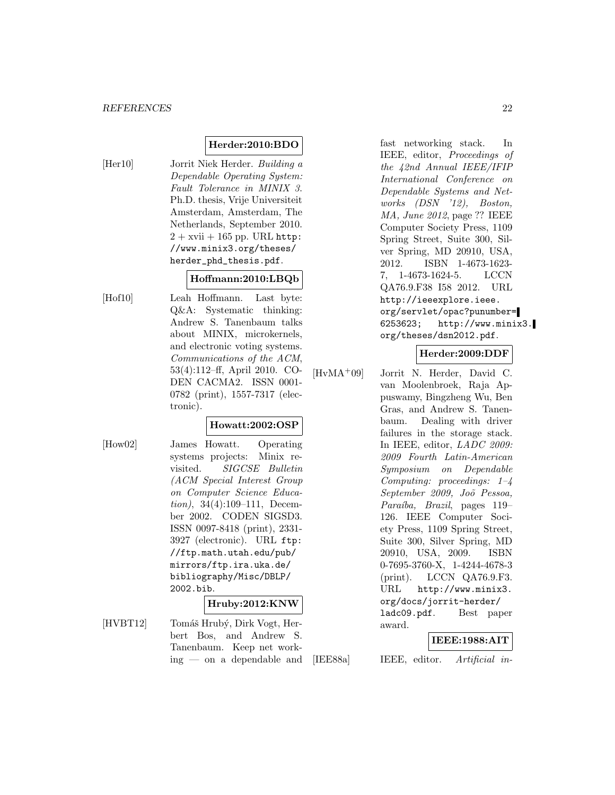## **Herder:2010:BDO**

[Her10] Jorrit Niek Herder. Building a Dependable Operating System: Fault Tolerance in MINIX 3. Ph.D. thesis, Vrije Universiteit Amsterdam, Amsterdam, The Netherlands, September 2010.  $2 + x$ vii  $+ 165$  pp. URL http: //www.minix3.org/theses/ herder\_phd\_thesis.pdf.

## **Hoffmann:2010:LBQb**

[Hof10] Leah Hoffmann. Last byte: Q&A: Systematic thinking: Andrew S. Tanenbaum talks about MINIX, microkernels, and electronic voting systems. Communications of the ACM, 53(4):112–ff, April 2010. CO-DEN CACMA2. ISSN 0001- 0782 (print), 1557-7317 (electronic).

## **Howatt:2002:OSP**

[How02] James Howatt. Operating systems projects: Minix revisited. SIGCSE Bulletin (ACM Special Interest Group on Computer Science Education), 34(4):109–111, December 2002. CODEN SIGSD3. ISSN 0097-8418 (print), 2331- 3927 (electronic). URL ftp: //ftp.math.utah.edu/pub/ mirrors/ftp.ira.uka.de/ bibliography/Misc/DBLP/ 2002.bib.

#### **Hruby:2012:KNW**

[HVBT12] Tomáš Hrubý, Dirk Vogt, Herbert Bos, and Andrew S. Tanenbaum. Keep net working — on a dependable and

fast networking stack. In IEEE, editor, Proceedings of the 42nd Annual IEEE/IFIP International Conference on Dependable Systems and Networks (DSN '12), Boston, MA, June 2012, page ?? IEEE Computer Society Press, 1109 Spring Street, Suite 300, Silver Spring, MD 20910, USA, 2012. ISBN 1-4673-1623- 7, 1-4673-1624-5. LCCN QA76.9.F38 I58 2012. URL http://ieeexplore.ieee. org/servlet/opac?punumber= 6253623; http://www.minix3. org/theses/dsn2012.pdf.

## **Herder:2009:DDF**

[HvMA<sup>+</sup>09] Jorrit N. Herder, David C. van Moolenbroek, Raja Appuswamy, Bingzheng Wu, Ben Gras, and Andrew S. Tanenbaum. Dealing with driver failures in the storage stack. In IEEE, editor, LADC 2009: 2009 Fourth Latin-American Symposium on Dependable Computing: proceedings: 1–4 September 2009, Jo˜o Pessoa, Paraíba, Brazil, pages 119– 126. IEEE Computer Society Press, 1109 Spring Street, Suite 300, Silver Spring, MD 20910, USA, 2009. ISBN 0-7695-3760-X, 1-4244-4678-3 (print). LCCN QA76.9.F3. URL http://www.minix3. org/docs/jorrit-herder/ ladc09.pdf. Best paper award.

## **IEEE:1988:AIT**

[IEE88a] IEEE, editor. Artificial in-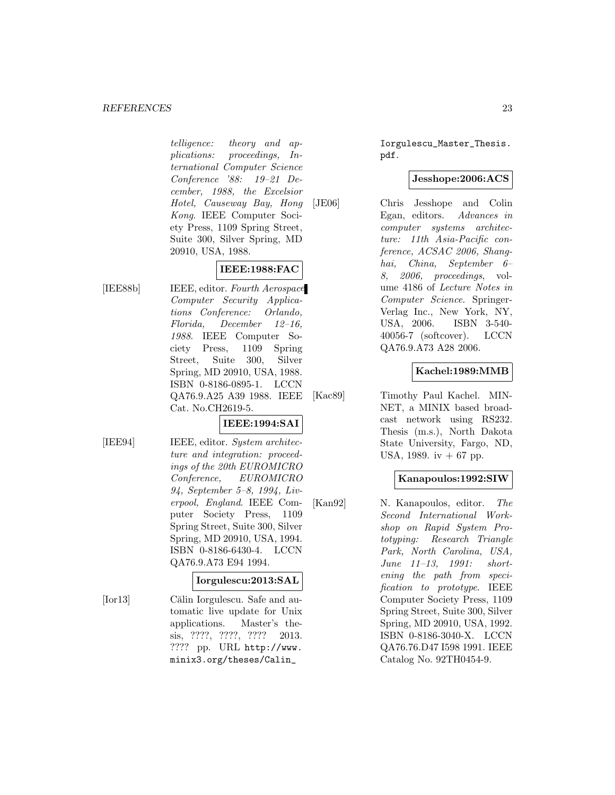telligence: theory and applications: proceedings, International Computer Science Conference '88: 19–21 December, 1988, the Excelsior Hotel, Causeway Bay, Hong Kong. IEEE Computer Society Press, 1109 Spring Street, Suite 300, Silver Spring, MD 20910, USA, 1988.

## **IEEE:1988:FAC**

[IEE88b] IEEE, editor. Fourth Aerospace Computer Security Applications Conference: Orlando, Florida, December 12–16, 1988. IEEE Computer Society Press, 1109 Spring Street, Suite 300, Silver Spring, MD 20910, USA, 1988. ISBN 0-8186-0895-1. LCCN QA76.9.A25 A39 1988. IEEE Cat. No.CH2619-5.

## **IEEE:1994:SAI**

[IEE94] **IEEE**, editor. System architecture and integration: proceedings of the 20th EUROMICRO Conference, EUROMICRO 94, September 5–8, 1994, Liverpool, England. IEEE Computer Society Press, 1109 Spring Street, Suite 300, Silver Spring, MD 20910, USA, 1994. ISBN 0-8186-6430-4. LCCN QA76.9.A73 E94 1994.

## **Iorgulescu:2013:SAL**

[Ior13] Călin Iorgulescu. Safe and automatic live update for Unix applications. Master's thesis, ????, ????, ???? 2013. ???? pp. URL http://www. minix3.org/theses/Calin\_

Iorgulescu\_Master\_Thesis. pdf.

#### **Jesshope:2006:ACS**

[JE06] Chris Jesshope and Colin Egan, editors. Advances in computer systems architecture: 11th Asia-Pacific conference, ACSAC 2006, Shanghai, China, September 6– 8, 2006, proceedings, volume 4186 of Lecture Notes in Computer Science. Springer-Verlag Inc., New York, NY, USA, 2006. ISBN 3-540- 40056-7 (softcover). LCCN QA76.9.A73 A28 2006.

## **Kachel:1989:MMB**

[Kac89] Timothy Paul Kachel. MIN-NET, a MINIX based broadcast network using RS232. Thesis (m.s.), North Dakota State University, Fargo, ND, USA, 1989. iv  $+67$  pp.

## **Kanapoulos:1992:SIW**

[Kan92] N. Kanapoulos, editor. The Second International Workshop on Rapid System Prototyping: Research Triangle Park, North Carolina, USA, June 11–13, 1991: shortening the path from specification to prototype. IEEE Computer Society Press, 1109 Spring Street, Suite 300, Silver Spring, MD 20910, USA, 1992. ISBN 0-8186-3040-X. LCCN QA76.76.D47 I598 1991. IEEE Catalog No. 92TH0454-9.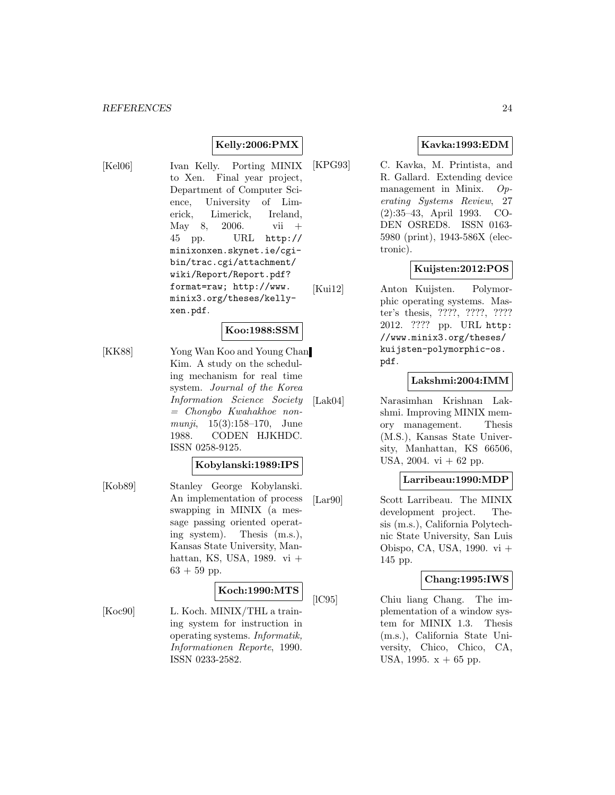## **Kelly:2006:PMX**

[Kel06] Ivan Kelly. Porting MINIX to Xen. Final year project, Department of Computer Science, University of Limerick, Limerick, Ireland, May 8, 2006. vii + 45 pp. URL http:// minixonxen.skynet.ie/cgibin/trac.cgi/attachment/ wiki/Report/Report.pdf? format=raw; http://www. minix3.org/theses/kellyxen.pdf.

## **Koo:1988:SSM**

[KK88] Yong Wan Koo and Young Chan Kim. A study on the scheduling mechanism for real time system. Journal of the Korea Information Science Society = Chongbo Kwahakhoe nonmunji,  $15(3):158-170$ , June 1988. CODEN HJKHDC. ISSN 0258-9125.

#### **Kobylanski:1989:IPS**

[Kob89] Stanley George Kobylanski. An implementation of process swapping in MINIX (a message passing oriented operating system). Thesis (m.s.), Kansas State University, Manhattan, KS, USA, 1989. vi +  $63 + 59$  pp.

#### **Koch:1990:MTS**

[Koc90] L. Koch. MINIX/THL a training system for instruction in operating systems. Informatik, Informationen Reporte, 1990. ISSN 0233-2582.

## **Kavka:1993:EDM**

[KPG93] C. Kavka, M. Printista, and R. Gallard. Extending device management in Minix. Operating Systems Review, 27 (2):35–43, April 1993. CO-DEN OSRED8. ISSN 0163- 5980 (print), 1943-586X (electronic).

## **Kuijsten:2012:POS**

[Kui12] Anton Kuijsten. Polymorphic operating systems. Master's thesis, ????, ????, ???? 2012. ???? pp. URL http: //www.minix3.org/theses/ kuijsten-polymorphic-os. pdf.

#### **Lakshmi:2004:IMM**

[Lak04] Narasimhan Krishnan Lakshmi. Improving MINIX memory management. Thesis (M.S.), Kansas State University, Manhattan, KS 66506, USA,  $2004. \text{ vi} + 62 \text{ pp}$ .

## **Larribeau:1990:MDP**

[Lar90] Scott Larribeau. The MINIX development project. Thesis (m.s.), California Polytechnic State University, San Luis Obispo, CA, USA, 1990. vi + 145 pp.

#### **Chang:1995:IWS**

[lC95] Chiu liang Chang. The implementation of a window system for MINIX 1.3. Thesis (m.s.), California State University, Chico, Chico, CA, USA, 1995.  $x + 65$  pp.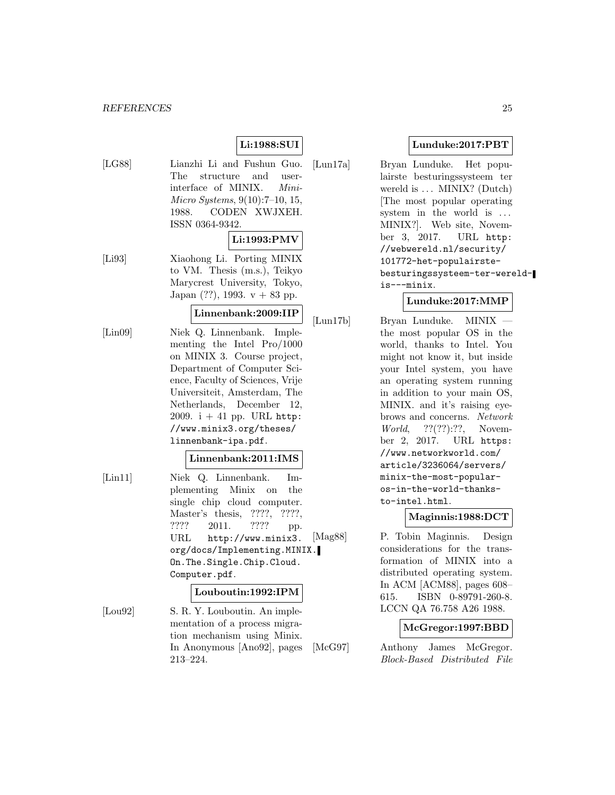#### *REFERENCES* 25

## **Li:1988:SUI**

[LG88] Lianzhi Li and Fushun Guo. The structure and userinterface of MINIX. Mini-Micro Systems, 9(10):7–10, 15, 1988. CODEN XWJXEH. ISSN 0364-9342.

#### **Li:1993:PMV**

[Li93] Xiaohong Li. Porting MINIX to VM. Thesis (m.s.), Teikyo Marycrest University, Tokyo, Japan  $(??)$ , 1993. v + 83 pp.

#### **Linnenbank:2009:IIP**

[Lin09] Niek Q. Linnenbank. Implementing the Intel Pro/1000 on MINIX 3. Course project, Department of Computer Science, Faculty of Sciences, Vrije Universiteit, Amsterdam, The Netherlands, December 12, 2009.  $i + 41$  pp. URL http: //www.minix3.org/theses/ linnenbank-ipa.pdf.

#### **Linnenbank:2011:IMS**

[Lin11] Niek Q. Linnenbank. Implementing Minix on the single chip cloud computer. Master's thesis, ????, ????, ???? 2011. ???? pp. URL http://www.minix3. org/docs/Implementing.MINIX. On.The.Single.Chip.Cloud. Computer.pdf.

#### **Louboutin:1992:IPM**

[Lou92] S. R. Y. Louboutin. An implementation of a process migration mechanism using Minix. In Anonymous [Ano92], pages 213–224.

#### **Lunduke:2017:PBT**

[Lun17a] Bryan Lunduke. Het populairste besturingssysteem ter wereld is ... MINIX? (Dutch) [The most popular operating system in the world is ... MINIX?]. Web site, November 3, 2017. URL http: //webwereld.nl/security/ 101772-het-populairstebesturingssysteem-ter-wereldis---minix.

## **Lunduke:2017:MMP**

[Lun17b] Bryan Lunduke. MINIX the most popular OS in the world, thanks to Intel. You might not know it, but inside your Intel system, you have an operating system running in addition to your main OS, MINIX. and it's raising eyebrows and concerns. Network World, ??(??):??, November 2, 2017. URL https: //www.networkworld.com/ article/3236064/servers/ minix-the-most-popularos-in-the-world-thanksto-intel.html.

## **Maginnis:1988:DCT**

[Mag88] P. Tobin Maginnis. Design considerations for the transformation of MINIX into a distributed operating system. In ACM [ACM88], pages 608– 615. ISBN 0-89791-260-8. LCCN QA 76.758 A26 1988.

## **McGregor:1997:BBD**

[McG97] Anthony James McGregor. Block-Based Distributed File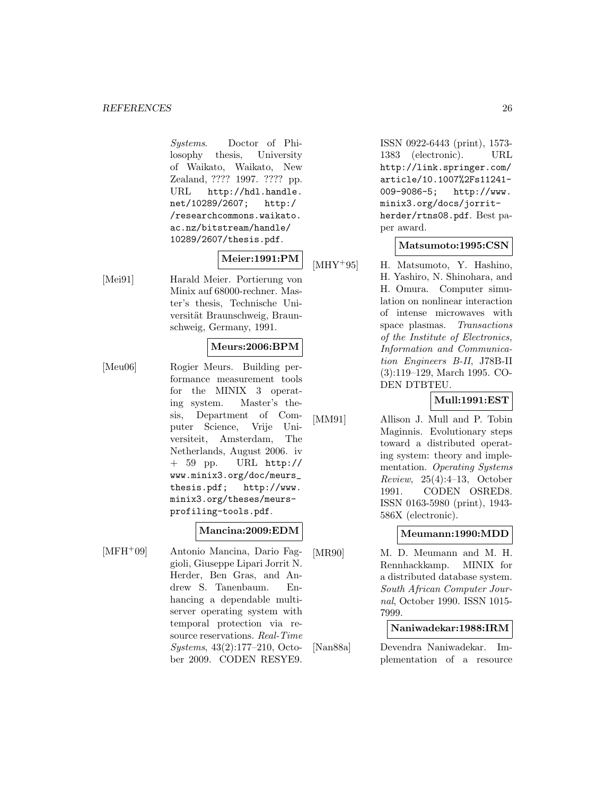Systems. Doctor of Philosophy thesis, University of Waikato, Waikato, New Zealand, ???? 1997. ???? pp. URL http://hdl.handle. net/10289/2607; http:/ /researchcommons.waikato. ac.nz/bitstream/handle/ 10289/2607/thesis.pdf.

## **Meier:1991:PM**

[Mei91] Harald Meier. Portierung von Minix auf 68000-rechner. Master's thesis, Technische Universität Braunschweig, Braunschweig, Germany, 1991.

## **Meurs:2006:BPM**

[Meu06] Rogier Meurs. Building performance measurement tools for the MINIX 3 operating system. Master's thesis, Department of Computer Science, Vrije Universiteit, Amsterdam, The Netherlands, August 2006. iv + 59 pp. URL http:// www.minix3.org/doc/meurs\_ thesis.pdf; http://www. minix3.org/theses/meursprofiling-tools.pdf.

## **Mancina:2009:EDM**

[MFH<sup>+</sup>09] Antonio Mancina, Dario Faggioli, Giuseppe Lipari Jorrit N. Herder, Ben Gras, and Andrew S. Tanenbaum. Enhancing a dependable multiserver operating system with temporal protection via resource reservations. Real-Time Systems, 43(2):177–210, October 2009. CODEN RESYE9.

ISSN 0922-6443 (print), 1573- 1383 (electronic). URL http://link.springer.com/ article/10.1007%2Fs11241- 009-9086-5; http://www. minix3.org/docs/jorritherder/rtns08.pdf. Best paper award.

#### **Matsumoto:1995:CSN**

[MHY<sup>+</sup>95] H. Matsumoto, Y. Hashino, H. Yashiro, N. Shinohara, and H. Omura. Computer simulation on nonlinear interaction of intense microwaves with space plasmas. Transactions of the Institute of Electronics, Information and Communication Engineers B-II, J78B-II (3):119–129, March 1995. CO-DEN DTBTEU.

## **Mull:1991:EST**

[MM91] Allison J. Mull and P. Tobin Maginnis. Evolutionary steps toward a distributed operating system: theory and implementation. Operating Systems  $Review, 25(4):4-13, October$ 1991. CODEN OSRED8. ISSN 0163-5980 (print), 1943- 586X (electronic).

## **Meumann:1990:MDD**

[MR90] M. D. Meumann and M. H. Rennhackkamp. MINIX for a distributed database system. South African Computer Journal, October 1990. ISSN 1015- 7999.

## **Naniwadekar:1988:IRM**

[Nan88a] Devendra Naniwadekar. Implementation of a resource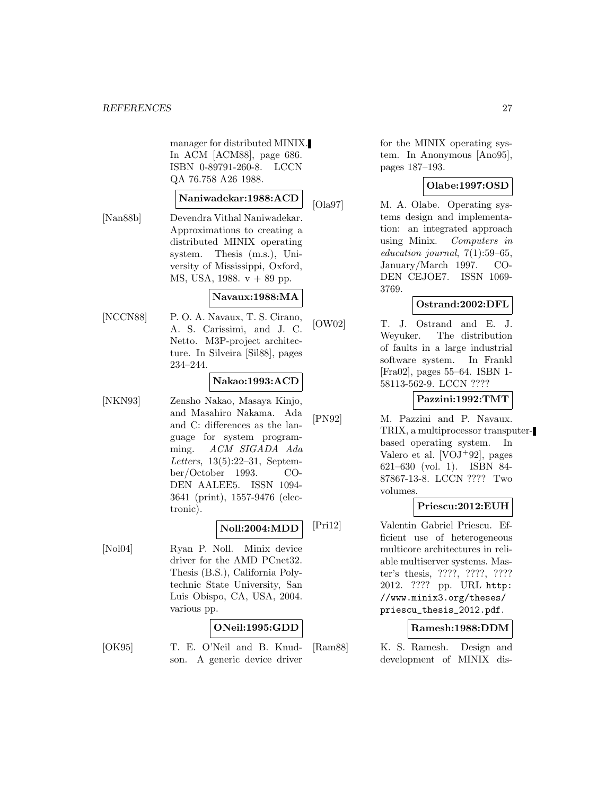manager for distributed MINIX. In ACM [ACM88], page 686. ISBN 0-89791-260-8. LCCN QA 76.758 A26 1988.

## **Naniwadekar:1988:ACD**

[Nan88b] Devendra Vithal Naniwadekar. Approximations to creating a distributed MINIX operating system. Thesis (m.s.), University of Mississippi, Oxford, MS, USA, 1988. v + 89 pp.

## **Navaux:1988:MA**

[NCCN88] P. O. A. Navaux, T. S. Cirano, A. S. Carissimi, and J. C. Netto. M3P-project architecture. In Silveira [Sil88], pages 234–244.

## **Nakao:1993:ACD**

[NKN93] Zensho Nakao, Masaya Kinjo, and Masahiro Nakama. Ada and C: differences as the language for system programming. ACM SIGADA Ada Letters, 13(5):22–31, September/October 1993. CO-DEN AALEE5. ISSN 1094- 3641 (print), 1557-9476 (electronic).

## **Noll:2004:MDD**

[Nol04] Ryan P. Noll. Minix device driver for the AMD PCnet32. Thesis (B.S.), California Polytechnic State University, San Luis Obispo, CA, USA, 2004. various pp.

#### **ONeil:1995:GDD**

[OK95] T. E. O'Neil and B. Knudson. A generic device driver

for the MINIX operating system. In Anonymous [Ano95], pages 187–193.

## **Olabe:1997:OSD**

[Ola97] M. A. Olabe. Operating systems design and implementation: an integrated approach using Minix. Computers in education journal, 7(1):59–65, January/March 1997. CO-DEN CEJOE7. ISSN 1069- 3769.

## **Ostrand:2002:DFL**

[OW02] T. J. Ostrand and E. J. Weyuker. The distribution of faults in a large industrial software system. In Frankl [Fra02], pages 55–64. ISBN 1- 58113-562-9. LCCN ????

## **Pazzini:1992:TMT**

[PN92] M. Pazzini and P. Navaux. TRIX, a multiprocessor transputerbased operating system. In Valero et al.  $[VOJ<sup>+</sup>92]$ , pages 621–630 (vol. 1). ISBN 84- 87867-13-8. LCCN ???? Two volumes.

## **Priescu:2012:EUH**

[Pri12] Valentin Gabriel Priescu. Efficient use of heterogeneous multicore architectures in reliable multiserver systems. Master's thesis, ????, ????, ???? 2012. ???? pp. URL http: //www.minix3.org/theses/ priescu\_thesis\_2012.pdf.

## **Ramesh:1988:DDM**

[Ram88] K. S. Ramesh. Design and development of MINIX dis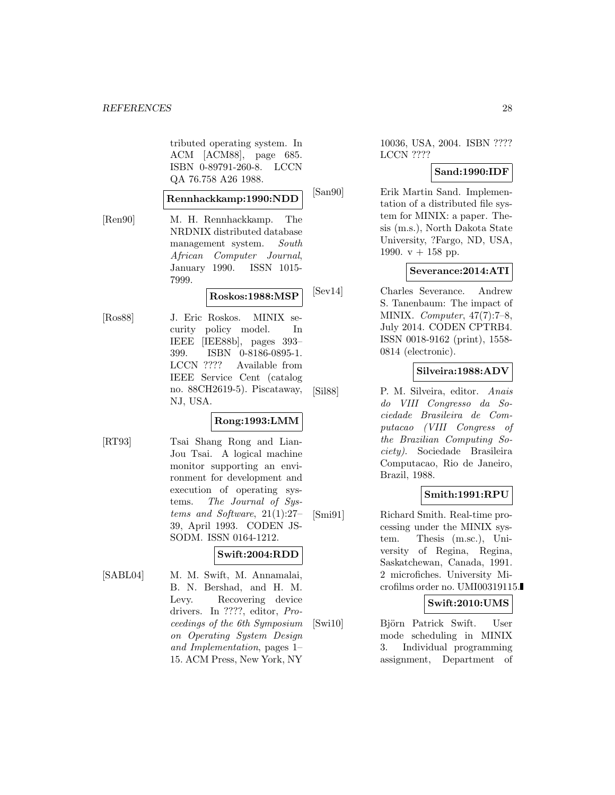tributed operating system. In ACM [ACM88], page 685. ISBN 0-89791-260-8. LCCN QA 76.758 A26 1988.

#### **Rennhackkamp:1990:NDD**

[Ren90] M. H. Rennhackkamp. The NRDNIX distributed database management system. South African Computer Journal, January 1990. ISSN 1015- 7999.

## **Roskos:1988:MSP**

[Ros88] J. Eric Roskos. MINIX security policy model. In IEEE [IEE88b], pages 393– 399. ISBN 0-8186-0895-1. LCCN ???? Available from IEEE Service Cent (catalog no. 88CH2619-5). Piscataway, NJ, USA.

#### **Rong:1993:LMM**

[RT93] Tsai Shang Rong and Lian-Jou Tsai. A logical machine monitor supporting an environment for development and execution of operating systems. The Journal of Systems and Software, 21(1):27– 39, April 1993. CODEN JS-SODM. ISSN 0164-1212.

## **Swift:2004:RDD**

[SABL04] M. M. Swift, M. Annamalai, B. N. Bershad, and H. M. Levy. Recovering device drivers. In ????, editor, Proceedings of the 6th Symposium on Operating System Design and Implementation, pages 1– 15. ACM Press, New York, NY

10036, USA, 2004. ISBN ???? LCCN ????

#### **Sand:1990:IDF**

[San90] Erik Martin Sand. Implementation of a distributed file system for MINIX: a paper. Thesis (m.s.), North Dakota State University, ?Fargo, ND, USA, 1990.  $v + 158$  pp.

#### **Severance:2014:ATI**

[Sev14] Charles Severance. Andrew S. Tanenbaum: The impact of MINIX. Computer, 47(7):7–8, July 2014. CODEN CPTRB4. ISSN 0018-9162 (print), 1558- 0814 (electronic).

## **Silveira:1988:ADV**

[Sil88] P. M. Silveira, editor. Anais do VIII Congresso da Sociedade Brasileira de Computacao (VIII Congress of the Brazilian Computing Society). Sociedade Brasileira Computacao, Rio de Janeiro, Brazil, 1988.

#### **Smith:1991:RPU**

[Smi91] Richard Smith. Real-time processing under the MINIX system. Thesis (m.sc.), University of Regina, Regina, Saskatchewan, Canada, 1991. 2 microfiches. University Microfilms order no. UMI00319115.

#### **Swift:2010:UMS**

[Swi10] Björn Patrick Swift. User mode scheduling in MINIX 3. Individual programming assignment, Department of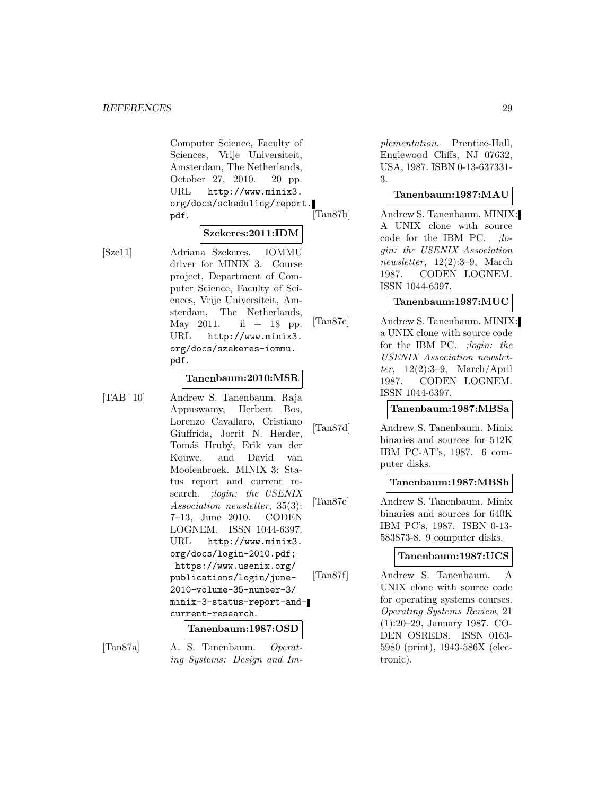Computer Science, Faculty of Sciences, Vrije Universiteit, Amsterdam, The Netherlands, October 27, 2010. 20 pp. URL http://www.minix3. org/docs/scheduling/report.<br>pdf. [Tan87b] pdf.

#### **Szekeres:2011:IDM**

[Sze11] Adriana Szekeres. IOMMU driver for MINIX 3. Course project, Department of Computer Science, Faculty of Sciences, Vrije Universiteit, Amsterdam, The Netherlands, May 2011. ii  $+ 18$  pp. URL http://www.minix3. org/docs/szekeres-iommu. pdf.

#### **Tanenbaum:2010:MSR**

[TAB<sup>+</sup>10] Andrew S. Tanenbaum, Raja Appuswamy, Herbert Bos, Lorenzo Cavallaro, Cristiano Giuffrida, Jorrit N. Herder, Tomáš Hrubý, Erik van der Kouwe, and David van Moolenbroek. MINIX 3: Status report and current research. ; login: the USENIX Association newsletter, 35(3): 7–13, June 2010. CODEN LOGNEM. ISSN 1044-6397. URL http://www.minix3. org/docs/login-2010.pdf; https://www.usenix.org/ publications/login/june-2010-volume-35-number-3/ minix-3-status-report-andcurrent-research.

#### **Tanenbaum:1987:OSD**

[Tan87a] A. S. Tanenbaum. Operating Systems: Design and Im-

plementation. Prentice-Hall, Englewood Cliffs, NJ 07632, USA, 1987. ISBN 0-13-637331- 3.

#### **Tanenbaum:1987:MAU**

Andrew S. Tanenbaum. MINIX: A UNIX clone with source code for the IBM PC. ;login: the USENIX Association newsletter, 12(2):3–9, March 1987. CODEN LOGNEM. ISSN 1044-6397.

**Tanenbaum:1987:MUC**

[Tan87c] Andrew S. Tanenbaum. MINIX: a UNIX clone with source code for the IBM PC. ;login: the USENIX Association newsletter, 12(2):3–9, March/April 1987. CODEN LOGNEM. ISSN 1044-6397.

#### **Tanenbaum:1987:MBSa**

[Tan87d] Andrew S. Tanenbaum. Minix binaries and sources for 512K IBM PC-AT's, 1987. 6 computer disks.

#### **Tanenbaum:1987:MBSb**

[Tan87e] Andrew S. Tanenbaum. Minix binaries and sources for 640K IBM PC's, 1987. ISBN 0-13- 583873-8. 9 computer disks.

#### **Tanenbaum:1987:UCS**

[Tan87f] Andrew S. Tanenbaum. A UNIX clone with source code for operating systems courses. Operating Systems Review, 21 (1):20–29, January 1987. CO-DEN OSRED8. ISSN 0163- 5980 (print), 1943-586X (electronic).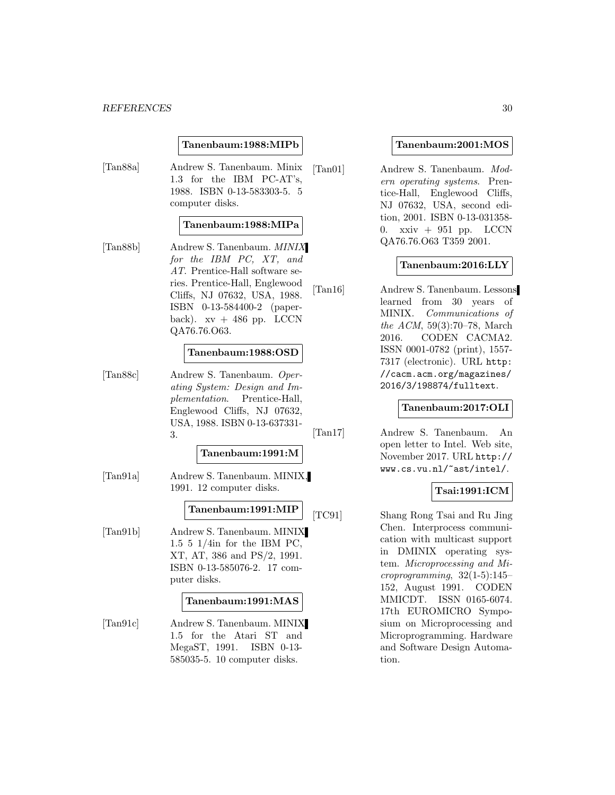#### **Tanenbaum:1988:MIPb**

[Tan88a] Andrew S. Tanenbaum. Minix 1.3 for the IBM PC-AT's, 1988. ISBN 0-13-583303-5. 5 computer disks.

#### **Tanenbaum:1988:MIPa**

[Tan88b] Andrew S. Tanenbaum. MINIX for the IBM PC, XT, and AT. Prentice-Hall software series. Prentice-Hall, Englewood Cliffs, NJ 07632, USA, 1988. ISBN 0-13-584400-2 (paperback).  $xy + 486$  pp. LCCN QA76.76.O63.

#### **Tanenbaum:1988:OSD**

[Tan88c] Andrew S. Tanenbaum. Operating System: Design and Implementation. Prentice-Hall, Englewood Cliffs, NJ 07632, USA, 1988. ISBN 0-13-637331- 3.

#### **Tanenbaum:1991:M**

[Tan91a] Andrew S. Tanenbaum. MINIX, 1991. 12 computer disks.

## **Tanenbaum:1991:MIP**

[Tan91b] Andrew S. Tanenbaum. MINIX 1.5 5 1/4in for the IBM PC, XT, AT, 386 and PS/2, 1991. ISBN 0-13-585076-2. 17 computer disks.

#### **Tanenbaum:1991:MAS**

[Tan91c] Andrew S. Tanenbaum. MINIX 1.5 for the Atari ST and MegaST, 1991. ISBN 0-13- 585035-5. 10 computer disks.

#### **Tanenbaum:2001:MOS**

[Tan01] Andrew S. Tanenbaum. Modern operating systems. Prentice-Hall, Englewood Cliffs, NJ 07632, USA, second edition, 2001. ISBN 0-13-031358- 0.  $xxiv + 951$  pp. LCCN QA76.76.O63 T359 2001.

#### **Tanenbaum:2016:LLY**

[Tan16] Andrew S. Tanenbaum. Lessons learned from 30 years of MINIX. Communications of the ACM, 59(3):70–78, March 2016. CODEN CACMA2. ISSN 0001-0782 (print), 1557- 7317 (electronic). URL http: //cacm.acm.org/magazines/ 2016/3/198874/fulltext.

#### **Tanenbaum:2017:OLI**

[Tan17] Andrew S. Tanenbaum. An open letter to Intel. Web site, November 2017. URL http:// www.cs.vu.nl/~ast/intel/.

## **Tsai:1991:ICM**

[TC91] Shang Rong Tsai and Ru Jing Chen. Interprocess communication with multicast support in DMINIX operating system. Microprocessing and Mi $coroprogramming, 32(1-5):145-$ 152, August 1991. CODEN MMICDT. ISSN 0165-6074. 17th EUROMICRO Symposium on Microprocessing and Microprogramming. Hardware and Software Design Automation.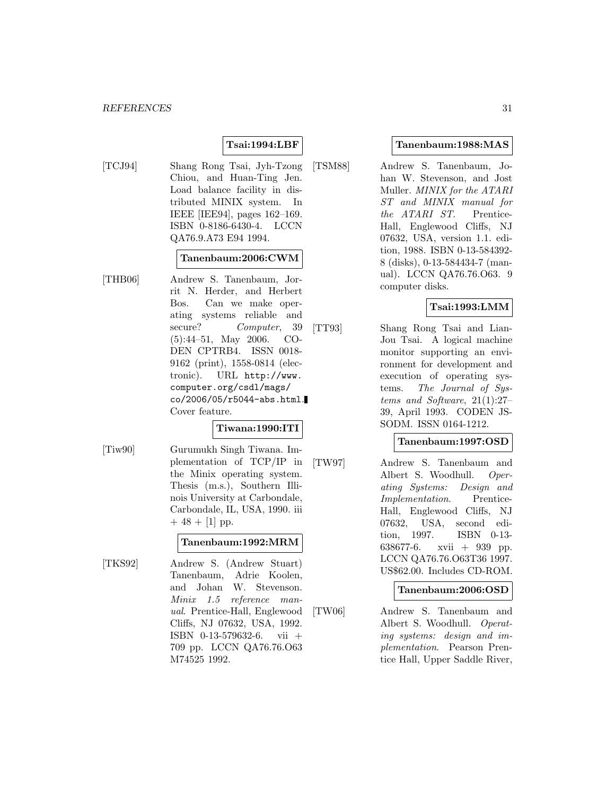## **Tsai:1994:LBF**

[TCJ94] Shang Rong Tsai, Jyh-Tzong Chiou, and Huan-Ting Jen. Load balance facility in distributed MINIX system. In IEEE [IEE94], pages 162–169. ISBN 0-8186-6430-4. LCCN QA76.9.A73 E94 1994.

## **Tanenbaum:2006:CWM**

[THB06] Andrew S. Tanenbaum, Jorrit N. Herder, and Herbert Bos. Can we make operating systems reliable and secure? Computer, 39 (5):44–51, May 2006. CO-DEN CPTRB4. ISSN 0018- 9162 (print), 1558-0814 (electronic). URL http://www. computer.org/csdl/mags/ co/2006/05/r5044-abs.html. Cover feature.

#### **Tiwana:1990:ITI**

[Tiw90] Gurumukh Singh Tiwana. Implementation of TCP/IP in the Minix operating system. Thesis (m.s.), Southern Illinois University at Carbondale, Carbondale, IL, USA, 1990. iii  $+ 48 + [1]$  pp.

#### **Tanenbaum:1992:MRM**

[TKS92] Andrew S. (Andrew Stuart) Tanenbaum, Adrie Koolen, and Johan W. Stevenson. Minix 1.5 reference manual. Prentice-Hall, Englewood Cliffs, NJ 07632, USA, 1992. ISBN 0-13-579632-6. vii + 709 pp. LCCN QA76.76.O63 M74525 1992.

#### **Tanenbaum:1988:MAS**

[TSM88] Andrew S. Tanenbaum, Johan W. Stevenson, and Jost Muller. MINIX for the ATARI ST and MINIX manual for the ATARI ST. Prentice-Hall, Englewood Cliffs, NJ 07632, USA, version 1.1. edition, 1988. ISBN 0-13-584392- 8 (disks), 0-13-584434-7 (manual). LCCN QA76.76.O63. 9 computer disks.

## **Tsai:1993:LMM**

[TT93] Shang Rong Tsai and Lian-Jou Tsai. A logical machine monitor supporting an environment for development and execution of operating systems. The Journal of Systems and Software, 21(1):27– 39, April 1993. CODEN JS-SODM. ISSN 0164-1212.

#### **Tanenbaum:1997:OSD**

[TW97] Andrew S. Tanenbaum and Albert S. Woodhull. Operating Systems: Design and Implementation. Prentice-Hall, Englewood Cliffs, NJ 07632, USA, second edition, 1997. ISBN 0-13- 638677-6. xvii + 939 pp. LCCN QA76.76.O63T36 1997. US\$62.00. Includes CD-ROM.

#### **Tanenbaum:2006:OSD**

[TW06] Andrew S. Tanenbaum and Albert S. Woodhull. Operating systems: design and implementation. Pearson Prentice Hall, Upper Saddle River,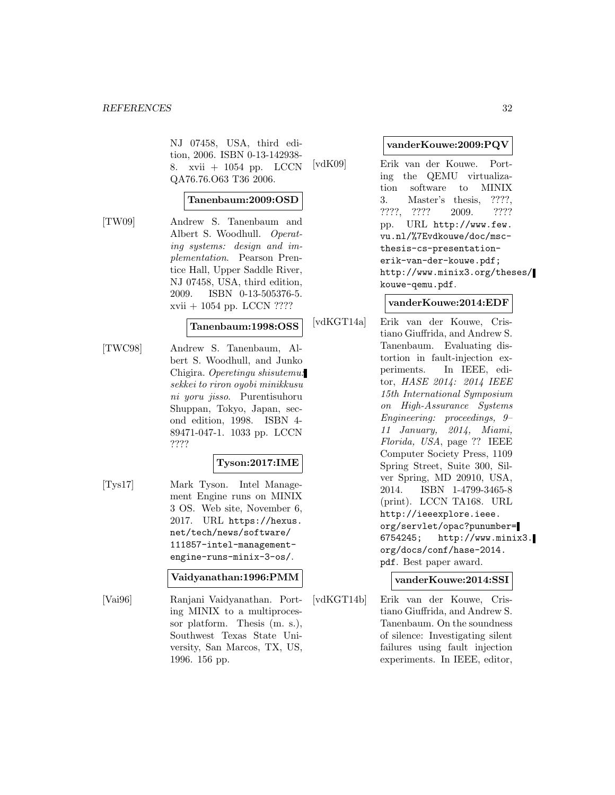NJ 07458, USA, third edition, 2006. ISBN 0-13-142938- 8. xvii + 1054 pp. LCCN QA76.76.O63 T36 2006.

#### **Tanenbaum:2009:OSD**

[TW09] Andrew S. Tanenbaum and Albert S. Woodhull. Operating systems: design and implementation. Pearson Prentice Hall, Upper Saddle River, NJ 07458, USA, third edition, 2009. ISBN 0-13-505376-5. xvii + 1054 pp. LCCN ????

#### **Tanenbaum:1998:OSS**

[TWC98] Andrew S. Tanenbaum, Albert S. Woodhull, and Junko Chigira. Operetingu shisutemu: sekkei to riron oyobi minikkusu ni yoru jisso. Purentisuhoru Shuppan, Tokyo, Japan, second edition, 1998. ISBN 4- 89471-047-1. 1033 pp. LCCN ????

## **Tyson:2017:IME**

[Tys17] Mark Tyson. Intel Management Engine runs on MINIX 3 OS. Web site, November 6, 2017. URL https://hexus. net/tech/news/software/ 111857-intel-managementengine-runs-minix-3-os/.

#### **Vaidyanathan:1996:PMM**

[Vai96] Ranjani Vaidyanathan. Porting MINIX to a multiprocessor platform. Thesis (m. s.), Southwest Texas State University, San Marcos, TX, US, 1996. 156 pp.

#### **vanderKouwe:2009:PQV**

[vdK09] Erik van der Kouwe. Porting the QEMU virtualization software to MINIX 3. Master's thesis, ????, ????, ???? 2009. ???? pp. URL http://www.few. vu.nl/%7Evdkouwe/doc/mscthesis-cs-presentationerik-van-der-kouwe.pdf; http://www.minix3.org/theses/ kouwe-qemu.pdf.

#### **vanderKouwe:2014:EDF**

[vdKGT14a] Erik van der Kouwe, Cristiano Giuffrida, and Andrew S. Tanenbaum. Evaluating distortion in fault-injection experiments. In IEEE, editor, HASE 2014: 2014 IEEE 15th International Symposium on High-Assurance Systems Engineering: proceedings, 9– 11 January, 2014, Miami, Florida, USA, page ?? IEEE Computer Society Press, 1109 Spring Street, Suite 300, Silver Spring, MD 20910, USA, 2014. ISBN 1-4799-3465-8 (print). LCCN TA168. URL http://ieeexplore.ieee. org/servlet/opac?punumber= 6754245; http://www.minix3. org/docs/conf/hase-2014. pdf. Best paper award.

## **vanderKouwe:2014:SSI**

[vdKGT14b] Erik van der Kouwe, Cristiano Giuffrida, and Andrew S. Tanenbaum. On the soundness of silence: Investigating silent failures using fault injection experiments. In IEEE, editor,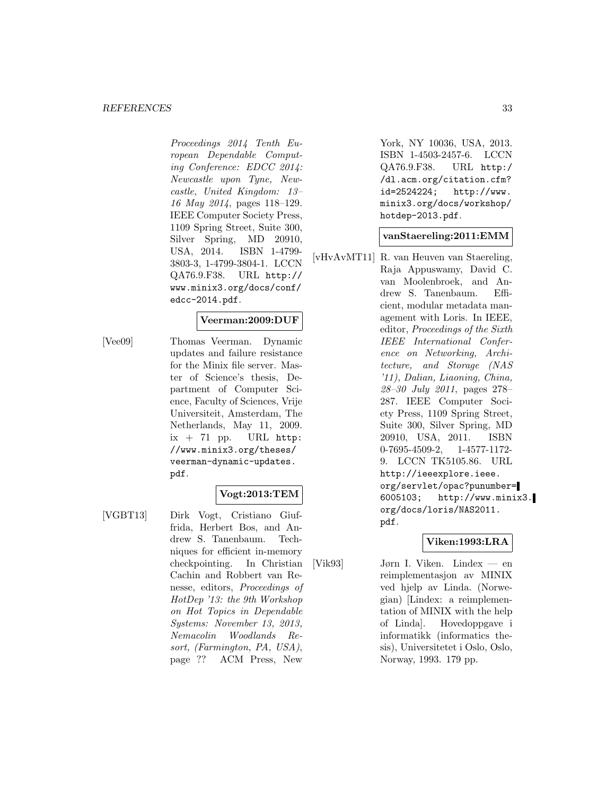#### *REFERENCES* 33

Proceedings 2014 Tenth European Dependable Computing Conference: EDCC 2014: Newcastle upon Tyne, Newcastle, United Kingdom: 13– 16 May 2014, pages 118–129. IEEE Computer Society Press, 1109 Spring Street, Suite 300, Silver Spring, MD 20910, USA, 2014. ISBN 1-4799- 3803-3, 1-4799-3804-1. LCCN QA76.9.F38. URL http:// www.minix3.org/docs/conf/ edcc-2014.pdf.

#### **Veerman:2009:DUF**

[Vee09] Thomas Veerman. Dynamic updates and failure resistance for the Minix file server. Master of Science's thesis, Department of Computer Science, Faculty of Sciences, Vrije Universiteit, Amsterdam, The Netherlands, May 11, 2009.  $ix + 71$  pp. URL http: //www.minix3.org/theses/ veerman-dynamic-updates. pdf.

## **Vogt:2013:TEM**

[VGBT13] Dirk Vogt, Cristiano Giuffrida, Herbert Bos, and Andrew S. Tanenbaum. Techniques for efficient in-memory checkpointing. In Christian Cachin and Robbert van Renesse, editors, Proceedings of HotDep '13: the 9th Workshop on Hot Topics in Dependable Systems: November 13, 2013, Nemacolin Woodlands Resort, (Farmington, PA, USA), page ?? ACM Press, New

York, NY 10036, USA, 2013. ISBN 1-4503-2457-6. LCCN QA76.9.F38. URL http:/ /dl.acm.org/citation.cfm? id=2524224; http://www. minix3.org/docs/workshop/ hotdep-2013.pdf.

**vanStaereling:2011:EMM**

[vHvAvMT11] R. van Heuven van Staereling, Raja Appuswamy, David C. van Moolenbroek, and Andrew S. Tanenbaum. Efficient, modular metadata management with Loris. In IEEE, editor, Proceedings of the Sixth IEEE International Conference on Networking, Architecture, and Storage (NAS '11), Dalian, Liaoning, China, 28–30 July 2011, pages 278– 287. IEEE Computer Society Press, 1109 Spring Street, Suite 300, Silver Spring, MD 20910, USA, 2011. ISBN 0-7695-4509-2, 1-4577-1172- 9. LCCN TK5105.86. URL http://ieeexplore.ieee. org/servlet/opac?punumber= 6005103; http://www.minix3. org/docs/loris/NAS2011. pdf.

#### **Viken:1993:LRA**

[Vik93] Jørn I. Viken. Lindex — en reimplementasjon av MINIX ved hjelp av Linda. (Norwegian) [Lindex: a reimplementation of MINIX with the help of Linda]. Hovedoppgave i informatikk (informatics thesis), Universitetet i Oslo, Oslo, Norway, 1993. 179 pp.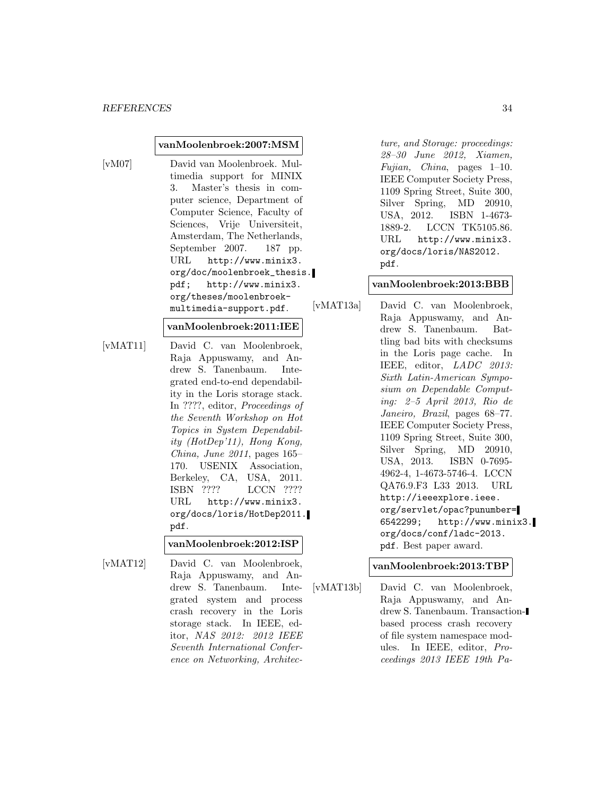#### **vanMoolenbroek:2007:MSM**

[vM07] David van Moolenbroek. Multimedia support for MINIX 3. Master's thesis in computer science, Department of Computer Science, Faculty of Sciences, Vrije Universiteit, Amsterdam, The Netherlands, September 2007. 187 pp. URL http://www.minix3. org/doc/moolenbroek\_thesis. pdf; http://www.minix3. org/theses/moolenbroekmultimedia-support.pdf.

#### **vanMoolenbroek:2011:IEE**

[vMAT11] David C. van Moolenbroek, Raja Appuswamy, and Andrew S. Tanenbaum. Integrated end-to-end dependability in the Loris storage stack. In ????, editor, Proceedings of the Seventh Workshop on Hot Topics in System Dependability (HotDep'11), Hong Kong, China, June 2011, pages 165– 170. USENIX Association, Berkeley, CA, USA, 2011. ISBN ???? LCCN ???? URL http://www.minix3. org/docs/loris/HotDep2011. pdf.

#### **vanMoolenbroek:2012:ISP**

[vMAT12] David C. van Moolenbroek, Raja Appuswamy, and Andrew S. Tanenbaum. Integrated system and process crash recovery in the Loris storage stack. In IEEE, editor, NAS 2012: 2012 IEEE Seventh International Conference on Networking, Architec-

ture, and Storage: proceedings: 28–30 June 2012, Xiamen, Fujian, China, pages 1–10. IEEE Computer Society Press, 1109 Spring Street, Suite 300, Silver Spring, MD 20910, USA, 2012. ISBN 1-4673- 1889-2. LCCN TK5105.86. URL http://www.minix3. org/docs/loris/NAS2012. pdf.

## **vanMoolenbroek:2013:BBB**

[vMAT13a] David C. van Moolenbroek, Raja Appuswamy, and Andrew S. Tanenbaum. Battling bad bits with checksums in the Loris page cache. In IEEE, editor, LADC 2013: Sixth Latin-American Symposium on Dependable Computing: 2–5 April 2013, Rio de Janeiro, Brazil, pages 68–77. IEEE Computer Society Press, 1109 Spring Street, Suite 300, Silver Spring, MD 20910, USA, 2013. ISBN 0-7695- 4962-4, 1-4673-5746-4. LCCN QA76.9.F3 L33 2013. URL http://ieeexplore.ieee. org/servlet/opac?punumber= 6542299; http://www.minix3. org/docs/conf/ladc-2013. pdf. Best paper award.

#### **vanMoolenbroek:2013:TBP**

[vMAT13b] David C. van Moolenbroek, Raja Appuswamy, and Andrew S. Tanenbaum. Transactionbased process crash recovery of file system namespace modules. In IEEE, editor, Proceedings 2013 IEEE 19th Pa-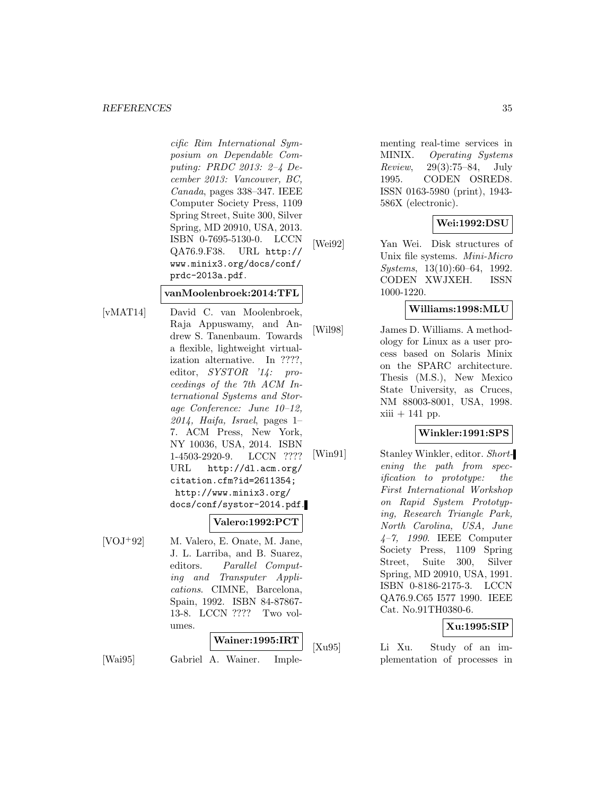#### *REFERENCES* 35

cific Rim International Symposium on Dependable Computing: PRDC 2013: 2–4 December 2013: Vancouver, BC, Canada, pages 338–347. IEEE Computer Society Press, 1109 Spring Street, Suite 300, Silver Spring, MD 20910, USA, 2013. ISBN 0-7695-5130-0. LCCN QA76.9.F38. URL http:// www.minix3.org/docs/conf/ prdc-2013a.pdf.

#### **vanMoolenbroek:2014:TFL**

[vMAT14] David C. van Moolenbroek, Raja Appuswamy, and Andrew S. Tanenbaum. Towards a flexible, lightweight virtualization alternative. In ????, editor, SYSTOR '14: proceedings of the 7th ACM International Systems and Storage Conference: June 10–12,  $2014$ , Haifa, Israel, pages 1– 7. ACM Press, New York, NY 10036, USA, 2014. ISBN 1-4503-2920-9. LCCN ???? URL http://dl.acm.org/ citation.cfm?id=2611354; http://www.minix3.org/ docs/conf/systor-2014.pdf.

## **Valero:1992:PCT**

[VOJ<sup>+</sup>92] M. Valero, E. Onate, M. Jane, J. L. Larriba, and B. Suarez, editors. Parallel Computing and Transputer Applications. CIMNE, Barcelona, Spain, 1992. ISBN 84-87867- 13-8. LCCN ???? Two volumes.

#### **Wainer:1995:IRT**

[Wai95] Gabriel A. Wainer. Imple-

menting real-time services in MINIX. Operating Systems Review, 29(3):75–84, July 1995. CODEN OSRED8. ISSN 0163-5980 (print), 1943- 586X (electronic).

## **Wei:1992:DSU**

[Wei92] Yan Wei. Disk structures of Unix file systems. Mini-Micro Systems, 13(10):60–64, 1992. CODEN XWJXEH. ISSN 1000-1220.

#### **Williams:1998:MLU**

[Wil98] James D. Williams. A methodology for Linux as a user process based on Solaris Minix on the SPARC architecture. Thesis (M.S.), New Mexico State University, as Cruces, NM 88003-8001, USA, 1998.  $xiii + 141$  pp.

#### **Winkler:1991:SPS**

[Win91] Stanley Winkler, editor. Shortening the path from specification to prototype: the First International Workshop on Rapid System Prototyping, Research Triangle Park, North Carolina, USA, June  $4-7$ , 1990. IEEE Computer Society Press, 1109 Spring Street, Suite 300, Silver Spring, MD 20910, USA, 1991. ISBN 0-8186-2175-3. LCCN QA76.9.C65 I577 1990. IEEE Cat. No.91TH0380-6.

## **Xu:1995:SIP**

[Xu95] Li Xu. Study of an implementation of processes in